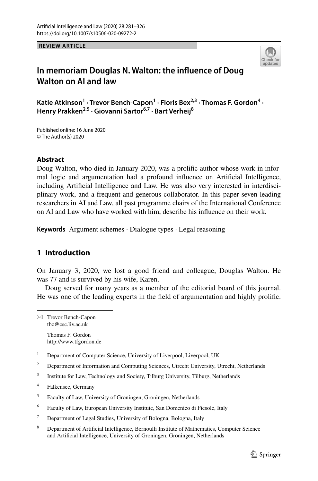**REVIEW ARTICLE**



# **In memoriam Douglas N. Walton: the infuence of Doug Walton on AI and law**

Katie Atkinson<sup>1</sup> · Trevor Bench-Capon<sup>1</sup> · Floris Bex<sup>2,3</sup> · Thomas F. Gordon<sup>4</sup> · **Henry Prakken2,5 · Giovanni Sartor6,7 · Bart Verheij8**

Published online: 16 June 2020 © The Author(s) 2020

## **Abstract**

Doug Walton, who died in January 2020, was a prolific author whose work in informal logic and argumentation had a profound infuence on Artifcial Intelligence, including Artificial Intelligence and Law. He was also very interested in interdisciplinary work, and a frequent and generous collaborator. In this paper seven leading researchers in AI and Law, all past programme chairs of the International Conference on AI and Law who have worked with him, describe his infuence on their work.

**Keywords** Argument schemes · Dialogue types · Legal reasoning

# **1 Introduction**

On January 3, 2020, we lost a good friend and colleague, Douglas Walton. He was 77 and is survived by his wife, Karen.

Doug served for many years as a member of the editorial board of this journal. He was one of the leading experts in the feld of argumentation and highly prolifc.

 $\boxtimes$  Trevor Bench-Capon tbc@csc.liv.ac.uk

Thomas F. Gordon http://www.tfgordon.de

- <sup>1</sup> Department of Computer Science, University of Liverpool, Liverpool, UK
- <sup>2</sup> Department of Information and Computing Sciences, Utrecht University, Utrecht, Netherlands
- <sup>3</sup> Institute for Law, Technology and Society, Tilburg University, Tilburg, Netherlands
- <sup>4</sup> Falkensee, Germany
- <sup>5</sup> Faculty of Law, University of Groningen, Groningen, Netherlands
- <sup>6</sup> Faculty of Law, European University Institute, San Domenico di Fiesole, Italy
- <sup>7</sup> Department of Legal Studies, University of Bologna, Bologna, Italy
- <sup>8</sup> Department of Artifcial Intelligence, Bernoulli Institute of Mathematics, Computer Science and Artifcial Intelligence, University of Groningen, Groningen, Netherlands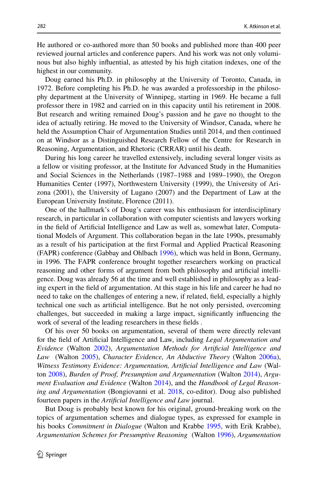He authored or co-authored more than 50 books and published more than 400 peer reviewed journal articles and conference papers. And his work was not only volumi nous but also highly infuential, as attested by his high citation indexes, one of the highest in our community.

Doug earned his Ph.D. in philosophy at the University of Toronto, Canada, in 1972. Before completing his Ph.D. he was awarded a professorship in the philosophy department at the University of Winnipeg, starting in 1969. He became a full professor there in 1982 and carried on in this capacity until his retirement in 2008. But research and writing remained Doug's passion and he gave no thought to the idea of actually retiring. He moved to the University of Windsor, Canada, where he held the Assumption Chair of Argumentation Studies until 2014, and then continued on at Windsor as a Distinguished Research Fellow of the Centre for Research in Reasoning, Argumentation, and Rhetoric (CRRAR) until his death.

During his long career he travelled extensively, including several longer visits as a fellow or visiting professor, at the Institute for Advanced Study in the Humanities and Social Sciences in the Netherlands (1987–1988 and 1989–1990), the Oregon Humanities Center (1997), Northwestern University (1999), the University of Arizona (2001), the University of Lugano (2007) and the Department of Law at the European University Institute, Florence (2011).

One of the hallmark's of Doug's career was his enthusiasm for interdisciplinary research, in particular in collaboration with computer scientists and lawyers working in the field of Artificial Intelligence and Law as well as, somewhat later, Computa tional Models of Argument. This collaboration began in the late 1990s, presumably as a result of his participation at the frst Formal and Applied Practical Reasoning (FAPR) conference (Gabbay and Ohlbach [1996](#page-40-0)), which was held in Bonn, Germany, in 1996. The FAPR conference brought together researchers working on practical reasoning and other forms of argument from both philosophy and artificial intelligence. Doug was already 56 at the time and well established in philosophy as a lead‑ ing expert in the feld of argumentation. At this stage in his life and career he had no need to take on the challenges of entering a new, if related, feld, especially a highly technical one such as artifcial intelligence. But he not only persisted, overcoming challenges, but succeeded in making a large impact, signifcantly infuencing the work of several of the leading researchers in these felds .

Of his over 50 books on argumentation, several of them were directly relevant for the feld of Artifcial Intelligence and Law, including *Legal Argumentation and Evidence* (Walton [2002\)](#page-44-0), *Argumentation Methods for Artifcial Intelligence and Law*  (Walton [2005\)](#page-44-1), *Character Evidence, An Abductive Theory* (Walton [2006a\)](#page-44-2), *Witness Testimony Evidence: Argumentation, Artifcial Intelligence and Law* (Wal‑ ton [2008\)](#page-44-3), *Burden of Proof, Presumption and Argumentation* (Walton [2014](#page-44-4)), *Argument Evaluation and Evidence* (Walton [2014](#page-44-4)), and the *Handbook of Legal Reasoning and Argumentation* (Bongiovanni et al. [2018](#page-40-1), co-editor). Doug also published fourteen papers in the *Artifcial Intelligence and Law* journal.

But Doug is probably best known for his original, ground-breaking work on the topics of argumentation schemes and dialogue types, as expressed for example in his books *Commitment in Dialogue* (Walton and Krabbe [1995](#page-44-5), with Erik Krabbe), *Argumentation Schemes for Presumptive Reasoning*  (Walton [1996\)](#page-44-6), *Argumentation*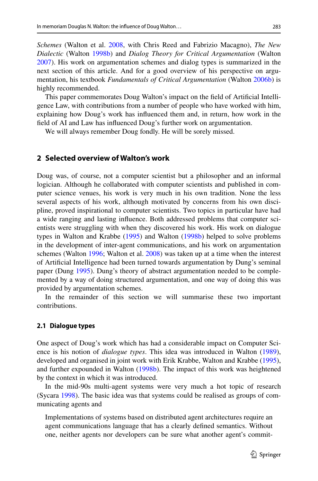283

*Schemes* (Walton et al. [2008](#page-44-7), with Chris Reed and Fabrizio Macagno), *The New Dialectic* (Walton [1998b\)](#page-44-8) and *Dialog Theory for Critical Argumentation* (Walton [2007](#page-44-9)). His work on argumentation schemes and dialog types is summarized in the next section of this article. And for a good overview of his perspective on argumentation, his textbook *Fundamentals of Critical Argumentation* (Walton [2006b\)](#page-44-10) is highly recommended.

This paper commemorates Doug Walton's impact on the feld of Artifcial Intelli‑ gence Law, with contributions from a number of people who have worked with him, explaining how Doug's work has infuenced them and, in return, how work in the feld of AI and Law has infuenced Doug's further work on argumentation.

We will always remember Doug fondly. He will be sorely missed.

# **2 Selected overview of Walton's work**

Doug was, of course, not a computer scientist but a philosopher and an informal logician. Although he collaborated with computer scientists and published in computer science venues, his work is very much in his own tradition. None the less several aspects of his work, although motivated by concerns from his own discipline, proved inspirational to computer scientists. Two topics in particular have had a wide ranging and lasting influence. Both addressed problems that computer scientists were struggling with when they discovered his work. His work on dialogue types in Walton and Krabbe [\(1995](#page-44-5)) and Walton ([1998b\)](#page-44-8) helped to solve problems in the development of inter-agent communications, and his work on argumentation schemes (Walton [1996](#page-44-6); Walton et al. [2008](#page-44-7)) was taken up at a time when the interest of Artifcial Intelligence had been turned towards argumentation by Dung's seminal paper (Dung [1995\)](#page-40-2). Dung's theory of abstract argumentation needed to be complemented by a way of doing structured argumentation, and one way of doing this was provided by argumentation schemes.

In the remainder of this section we will summarise these two important contributions.

### <span id="page-2-0"></span>**2.1 Dialogue types**

One aspect of Doug's work which has had a considerable impact on Computer Science is his notion of *dialogue types*. This idea was introduced in Walton ([1989\)](#page-44-11), developed and organised in joint work with Erik Krabbe, Walton and Krabbe ([1995\)](#page-44-5), and further expounded in Walton ([1998b\)](#page-44-8). The impact of this work was heightened by the context in which it was introduced.

In the mid-90s multi-agent systems were very much a hot topic of research (Sycara [1998](#page-43-0)). The basic idea was that systems could be realised as groups of com‑ municating agents and

Implementations of systems based on distributed agent architectures require an agent communications language that has a clearly defned semantics. Without one, neither agents nor developers can be sure what another agent's commit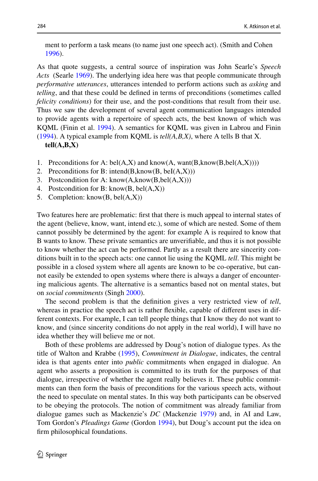ment to perform a task means (to name just one speech act). (Smith and Cohen [1996](#page-43-1)).

As that quote suggests, a central source of inspiration was John Searle's *Speech Acts*  (Searle [1969](#page-43-2)). The underlying idea here was that people communicate through *performative utterances*, utterances intended to perform actions such as *asking* and *telling*, and that these could be defned in terms of preconditions (sometimes called *felicity conditions*) for their use, and the post-conditions that result from their use. Thus we saw the development of several agent communication languages intended to provide agents with a repertoire of speech acts, the best known of which was KQML (Finin et al. [1994](#page-40-3)). A semantics for KQML was given in Labrou and Finin [\(1994](#page-41-0)). A typical example from KQML is *tell(A,B,X)*, where A tells B that X. **tell(A,B,X)**

- 1. Preconditions for A: bel(A,X) and know(A, want(B, know(B, bel(A,X))))
- 2. Preconditions for B: intend(B, know(B, beI(A,X)))
- 3. Postcondition for A:  $know(A, know(B, bel(A, X)))$
- 4. Postcondition for B: know $(B, bel(A,X))$
- 5. Completion: know(B, bel(A,X))

Two features here are problematic: frst that there is much appeal to internal states of the agent (believe, know, want, intend etc.), some of which are nested. Some of them cannot possibly be determined by the agent: for example A is required to know that B wants to know. These private semantics are unverifable, and thus it is not possible to know whether the act can be performed. Partly as a result there are sincerity conditions built in to the speech acts: one cannot lie using the KQML *tell*. This might be possible in a closed system where all agents are known to be co-operative, but cannot easily be extended to open systems where there is always a danger of encounter– ing malicious agents. The alternative is a semantics based not on mental states, but on *social commitments* (Singh [2000](#page-43-3)).

The second problem is that the defnition gives a very restricted view of *tell*, whereas in practice the speech act is rather flexible, capable of different uses in different contexts. For example, I can tell people things that I know they do not want to know, and (since sincerity conditions do not apply in the real world), I will have no idea whether they will believe me or not.

Both of these problems are addressed by Doug's notion of dialogue types. As the title of Walton and Krabbe [\(1995](#page-44-5)), *Commitment in Dialogue*, indicates, the central idea is that agents enter into *public* commitments when engaged in dialogue. An agent who asserts a proposition is committed to its truth for the purposes of that dialogue, irrespective of whether the agent really believes it. These public commitments can then form the basis of preconditions for the various speech acts, without the need to speculate on mental states. In this way both participants can be observed to be obeying the protocols. The notion of commitment was already familiar from dialogue games such as Mackenzie's *DC* (Mackenzie [1979](#page-41-1)) and, in AI and Law, Tom Gordon's *Pleadings Game* (Gordon [1994](#page-40-4)), but Doug's account put the idea on frm philosophical foundations.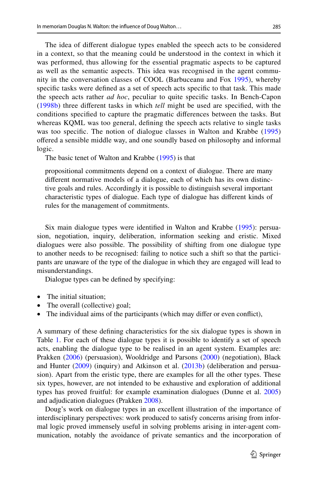The idea of diferent dialogue types enabled the speech acts to be considered in a context, so that the meaning could be understood in the context in which it was performed, thus allowing for the essential pragmatic aspects to be captured as well as the semantic aspects. This idea was recognised in the agent community in the conversation classes of COOL (Barbuceanu and Fox [1995\)](#page-39-0), whereby specifc tasks were defned as a set of speech acts specifc to that task. This made the speech acts rather *ad hoc*, peculiar to quite specifc tasks. In Bench-Capon [\(1998b](#page-39-1)) three diferent tasks in which *tell* might be used are specifed, with the conditions specifed to capture the pragmatic diferences between the tasks. But whereas KQML was too general, defning the speech acts relative to single tasks was too specifc. The notion of dialogue classes in Walton and Krabbe [\(1995\)](#page-44-5) ofered a sensible middle way, and one soundly based on philosophy and informal logic.

The basic tenet of Walton and Krabbe ([1995\)](#page-44-5) is that

propositional commitments depend on a context of dialogue. There are many different normative models of a dialogue, each of which has its own distinctive goals and rules. Accordingly it is possible to distinguish several important characteristic types of dialogue. Each type of dialogue has diferent kinds of rules for the management of commitments.

Six main dialogue types were identified in Walton and Krabbe [\(1995](#page-44-5)): persuasion, negotiation, inquiry, deliberation, information seeking and eristic. Mixed dialogues were also possible. The possibility of shifting from one dialogue type to another needs to be recognised: failing to notice such a shift so that the participants are unaware of the type of the dialogue in which they are engaged will lead to misunderstandings.

Dialogue types can be defned by specifying:

- The initial situation;
- The overall (collective) goal;
- The individual aims of the participants (which may difer or even confict),

A summary of these defning characteristics for the six dialogue types is shown in Table [1.](#page-5-0) For each of these dialogue types it is possible to identify a set of speech acts, enabling the dialogue type to be realised in an agent system. Examples are: Prakken ([2006\)](#page-42-0) (persuasion), Wooldridge and Parsons [\(2000](#page-44-12)) (negotiation), Black and Hunter  $(2009)$  $(2009)$  (inquiry) and Atkinson et al.  $(2013b)$  $(2013b)$  (deliberation and persuasion). Apart from the eristic type, there are examples for all the other types. These six types, however, are not intended to be exhaustive and exploration of additional types has proved fruitful: for example examination dialogues (Dunne et al. [2005](#page-40-6)) and adjudication dialogues (Prakken [2008](#page-42-1)).

Doug's work on dialogue types in an excellent illustration of the importance of interdisciplinary perspectives: work produced to satisfy concerns arising from informal logic proved immensely useful in solving problems arising in inter-agent communication, notably the avoidance of private semantics and the incorporation of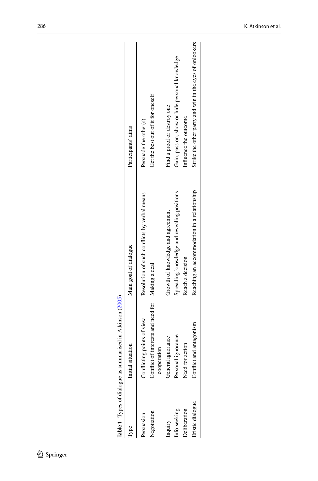|                 | Table 1 Types of dialogue as summarised in Atkinson (2005)      |                                              |                                                         |
|-----------------|-----------------------------------------------------------------|----------------------------------------------|---------------------------------------------------------|
|                 | situation<br>Initial                                            | Main goal of dialogue                        | Participants' aims                                      |
| Persuasion      | Conflicting points of view                                      | Resolution of such conflicts by verbal means | Persuade the other(s)                                   |
| Vegotiation     | Conflict of interests and need for Making a deal<br>cooperation |                                              | Get the best out of it for oneself                      |
| Inquiry         | General ignorance                                               | Growth of knowledge and agreement            | Find a proof or destroy one                             |
| nfo-seeking     | Personal ignorance                                              | Spreading knowledge and revealing positions  | Gain, pass on, show or hide personal knowledge          |
| eliberation     | Need for action                                                 | Reach a decision                             | Influence the outcome                                   |
| ristic dialogue | Conflict and antagonism                                         | Reaching an accommodation in a relationship  | Strike the other party and win in the eyes of onlookers |
|                 |                                                                 |                                              |                                                         |

<span id="page-5-0"></span>**Table 1** Types of dialogue as summarised in Atkinson ([2005\)](#page-39-3)  $\ddot{a}$  $\ddot{\phantom{a}}$  $\frac{1}{2}$  $\mathbf{f}$ J, þ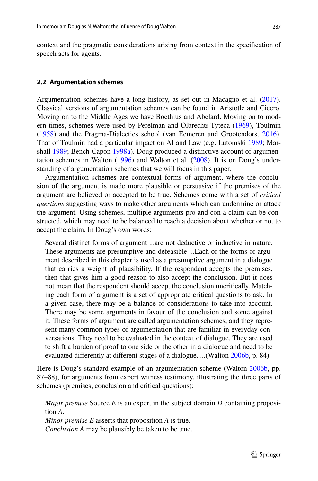context and the pragmatic considerations arising from context in the specifcation of speech acts for agents.

### <span id="page-6-0"></span>**2.2 Argumentation schemes**

Argumentation schemes have a long history, as set out in Macagno et al. ([2017\)](#page-41-2). Classical versions of argumentation schemes can be found in Aristotle and Cicero. Moving on to the Middle Ages we have Boethius and Abelard. Moving on to modern times, schemes were used by Perelman and Olbrechts-Tyteca ([1969\)](#page-42-2), Toulmin [\(1958](#page-43-4)) and the Pragma-Dialectics school (van Eemeren and Grootendorst [2016\)](#page-43-5). That of Toulmin had a particular impact on AI and Law (e.g. Lutomski [1989;](#page-41-3) Mar-shall [1989;](#page-42-3) Bench-Capon [1998a](#page-39-4)). Doug produced a distinctive account of argumen– tation schemes in Walton  $(1996)$  $(1996)$  and Walton et al.  $(2008)$  $(2008)$ . It is on Doug's understanding of argumentation schemes that we will focus in this paper.

Argumentation schemes are contextual forms of argument, where the conclusion of the argument is made more plausible or persuasive if the premises of the argument are believed or accepted to be true. Schemes come with a set of *critical questions* suggesting ways to make other arguments which can undermine or attack the argument. Using schemes, multiple arguments pro and con a claim can be constructed, which may need to be balanced to reach a decision about whether or not to accept the claim. In Doug's own words:

Several distinct forms of argument ...are not deductive or inductive in nature. These arguments are presumptive and defeasible ...Each of the forms of argument described in this chapter is used as a presumptive argument in a dialogue that carries a weight of plausibility. If the respondent accepts the premises, then that gives him a good reason to also accept the conclusion. But it does not mean that the respondent should accept the conclusion uncritically. Matching each form of argument is a set of appropriate critical questions to ask. In a given case, there may be a balance of considerations to take into account. There may be some arguments in favour of the conclusion and some against it. These forms of argument are called argumentation schemes, and they represent many common types of argumentation that are familiar in everyday conversations. They need to be evaluated in the context of dialogue. They are used to shift a burden of proof to one side or the other in a dialogue and need to be evaluated diferently at diferent stages of a dialogue. ...(Walton [2006b,](#page-44-10) p. 84)

Here is Doug's standard example of an argumentation scheme (Walton [2006b,](#page-44-10) pp. 87–88), for arguments from expert witness testimony, illustrating the three parts of schemes (premises, conclusion and critical questions):

*Major premise* Source  $E$  is an expert in the subject domain  $D$  containing proposition *A*.

*Minor premise E* asserts that proposition *A* is true. *Conclusion A* may be plausibly be taken to be true.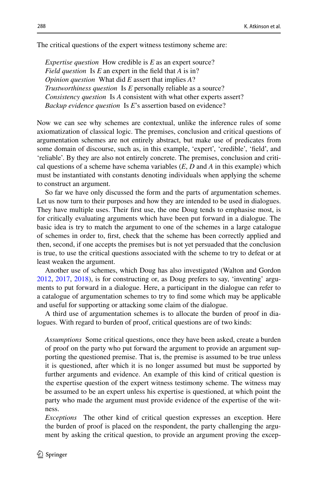The critical questions of the expert witness testimony scheme are:

*Expertise question* How credible is *E* as an expert source? *Field question* Is *E* an expert in the feld that *A* is in? *Opinion question* What did *E* assert that implies *A*? *Trustworthiness question* Is *E* personally reliable as a source? *Consistency question* Is *A* consistent with what other experts assert? *Backup evidence question* Is *E*'s assertion based on evidence?

Now we can see why schemes are contextual, unlike the inference rules of some axiomatization of classical logic. The premises, conclusion and critical questions of argumentation schemes are not entirely abstract, but make use of predicates from some domain of discourse, such as, in this example, 'expert', 'credible', 'feld', and 'reliable'. By they are also not entirely concrete. The premises, conclusion and criti‑ cal questions of a scheme have schema variables (*E*, *D* and *A* in this example) which must be instantiated with constants denoting individuals when applying the scheme to construct an argument.

So far we have only discussed the form and the parts of argumentation schemes. Let us now turn to their purposes and how they are intended to be used in dialogues. They have multiple uses. Their frst use, the one Doug tends to emphasise most, is for critically evaluating arguments which have been put forward in a dialogue. The basic idea is try to match the argument to one of the schemes in a large catalogue of schemes in order to, frst, check that the scheme has been correctly applied and then, second, if one accepts the premises but is not yet persuaded that the conclusion is true, to use the critical questions associated with the scheme to try to defeat or at least weaken the argument.

Another use of schemes, which Doug has also investigated (Walton and Gordon  $2012, 2017, 2018$  $2012, 2017, 2018$  $2012, 2017, 2018$  $2012, 2017, 2018$ ), is for constructing or, as Doug prefers to say, 'inventing' arguments to put forward in a dialogue. Here, a participant in the dialogue can refer to a catalogue of argumentation schemes to try to fnd some which may be applicable and useful for supporting or attacking some claim of the dialogue.

A third use of argumentation schemes is to allocate the burden of proof in dia‑ logues. With regard to burden of proof, critical questions are of two kinds:

*Assumptions* Some critical questions, once they have been asked, create a burden of proof on the party who put forward the argument to provide an argument sup‑ porting the questioned premise. That is, the premise is assumed to be true unless it is questioned, after which it is no longer assumed but must be supported by further arguments and evidence. An example of this kind of critical question is the expertise question of the expert witness testimony scheme. The witness may be assumed to be an expert unless his expertise is questioned, at which point the party who made the argument must provide evidence of the expertise of the witness.

*Exceptions* The other kind of critical question expresses an exception. Here the burden of proof is placed on the respondent, the party challenging the argument by asking the critical question, to provide an argument proving the excep–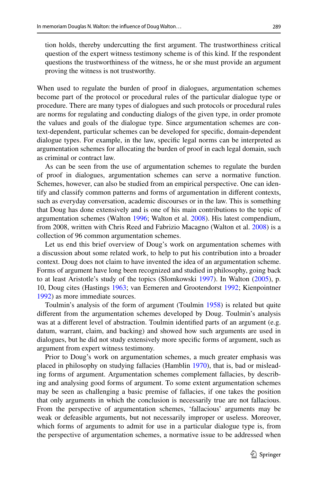tion holds, thereby undercutting the frst argument. The trustworthiness critical question of the expert witness testimony scheme is of this kind. If the respondent questions the trustworthiness of the witness, he or she must provide an argument proving the witness is not trustworthy.

When used to regulate the burden of proof in dialogues, argumentation schemes become part of the protocol or procedural rules of the particular dialogue type or procedure. There are many types of dialogues and such protocols or procedural rules are norms for regulating and conducting dialogs of the given type, in order promote the values and goals of the dialogue type. Since argumentation schemes are context-dependent, particular schemes can be developed for specifc, domain-dependent dialogue types. For example, in the law, specifc legal norms can be interpreted as argumentation schemes for allocating the burden of proof in each legal domain, such as criminal or contract law.

As can be seen from the use of argumentation schemes to regulate the burden of proof in dialogues, argumentation schemes can serve a normative function. Schemes, however, can also be studied from an empirical perspective. One can identify and classify common patterns and forms of argumentation in diferent contexts, such as everyday conversation, academic discourses or in the law. This is something that Doug has done extensively and is one of his main contributions to the topic of argumentation schemes (Walton [1996;](#page-44-6) Walton et al. [2008\)](#page-44-7). His latest compendium, from 2008, written with Chris Reed and Fabrizio Macagno (Walton et al. [2008](#page-44-7)) is a collection of 96 common argumentation schemes.

Let us end this brief overview of Doug's work on argumentation schemes with a discussion about some related work, to help to put his contribution into a broader context. Doug does not claim to have invented the idea of an argumentation scheme. Forms of argument have long been recognized and studied in philosophy, going back to at least Aristotle's study of the topics (Slomkowski [1997](#page-43-6)). In Walton ([2005\)](#page-44-1), p. 10, Doug cites (Hastings [1963;](#page-41-4) van Eemeren and Grootendorst [1992;](#page-43-7) Kienpointner [1992](#page-41-5)) as more immediate sources.

Toulmin's analysis of the form of argument (Toulmin [1958](#page-43-4)) is related but quite diferent from the argumentation schemes developed by Doug. Toulmin's analysis was at a diferent level of abstraction. Toulmin identifed parts of an argument (e.g. datum, warrant, claim, and backing) and showed how such arguments are used in dialogues, but he did not study extensively more specifc forms of argument, such as argument from expert witness testimony.

Prior to Doug's work on argumentation schemes, a much greater emphasis was placed in philosophy on studying fallacies (Hamblin [1970\)](#page-41-6), that is, bad or mislead‑ ing forms of argument. Argumentation schemes complement fallacies, by describing and analysing good forms of argument. To some extent argumentation schemes may be seen as challenging a basic premise of fallacies, if one takes the position that only arguments in which the conclusion is necessarily true are not fallacious. From the perspective of argumentation schemes, 'fallacious' arguments may be weak or defeasible arguments, but not necessarily improper or useless. Moreover, which forms of arguments to admit for use in a particular dialogue type is, from the perspective of argumentation schemes, a normative issue to be addressed when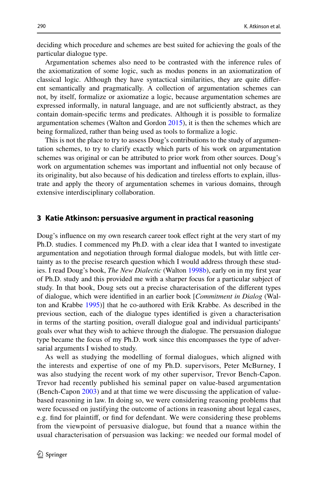deciding which procedure and schemes are best suited for achieving the goals of the particular dialogue type.

Argumentation schemes also need to be contrasted with the inference rules of the axiomatization of some logic, such as modus ponens in an axiomatization of classical logic. Although they have syntactical similarities, they are quite different semantically and pragmatically. A collection of argumentation schemes can not, by itself, formalize or axiomatize a logic, because argumentation schemes are expressed informally, in natural language, and are not sufficiently abstract, as they contain domain-specifc terms and predicates. Although it is possible to formalize argumentation schemes (Walton and Gordon [2015](#page-44-16)), it is then the schemes which are being formalized, rather than being used as tools to formalize a logic.

This is not the place to try to assess Doug's contributions to the study of argumen– tation schemes, to try to clarify exactly which parts of his work on argumentation schemes was original or can be attributed to prior work from other sources. Doug's work on argumentation schemes was important and infuential not only because of its originality, but also because of his dedication and tireless efforts to explain, illus– trate and apply the theory of argumentation schemes in various domains, through extensive interdisciplinary collaboration.

### <span id="page-9-0"></span>**3 Katie Atkinson: persuasive argument in practical reasoning**

Doug's infuence on my own research career took efect right at the very start of my Ph.D. studies. I commenced my Ph.D. with a clear idea that I wanted to investigate argumentation and negotiation through formal dialogue models, but with little certainty as to the precise research question which I would address through these stud‑ ies. I read Doug's book, *The New Dialectic* (Walton [1998b](#page-44-8)), early on in my frst year of Ph.D. study and this provided me with a sharper focus for a particular subject of study. In that book, Doug sets out a precise characterisation of the diferent types of dialogue, which were identifed in an earlier book [*Commitment in Dialog* (Wal‑ ton and Krabbe [1995\)](#page-44-5)] that he co-authored with Erik Krabbe. As described in the previous section, each of the dialogue types identifed is given a characterisation in terms of the starting position, overall dialogue goal and individual participants' goals over what they wish to achieve through the dialogue. The persuasion dialogue type became the focus of my Ph.D. work since this encompasses the type of adversarial arguments I wished to study.

As well as studying the modelling of formal dialogues, which aligned with the interests and expertise of one of my Ph.D. supervisors, Peter McBurney, I was also studying the recent work of my other supervisor, Trevor Bench-Capon. Trevor had recently published his seminal paper on value-based argumentation (Bench-Capon [2003\)](#page-39-5) and at that time we were discussing the application of valuebased reasoning in law. In doing so, we were considering reasoning problems that were focussed on justifying the outcome of actions in reasoning about legal cases, e.g. fnd for plaintif, or fnd for defendant. We were considering these problems from the viewpoint of persuasive dialogue, but found that a nuance within the usual characterisation of persuasion was lacking: we needed our formal model of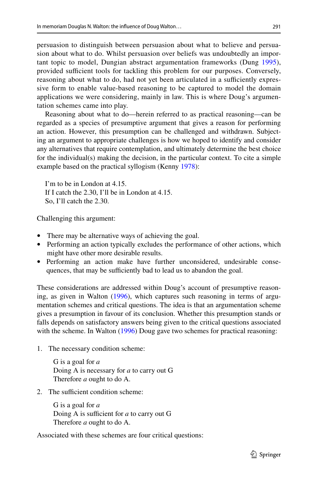persuasion to distinguish between persuasion about what to believe and persua‑ sion about what to do. Whilst persuasion over beliefs was undoubtedly an important topic to model, Dungian abstract argumentation frameworks (Dung [1995](#page-40-2)), provided sufficient tools for tackling this problem for our purposes. Conversely, reasoning about what to do, had not yet been articulated in a sufficiently expressive form to enable value-based reasoning to be captured to model the domain applications we were considering, mainly in law. This is where Doug's argumen– tation schemes came into play.

Reasoning about what to do—herein referred to as practical reasoning—can be regarded as a species of presumptive argument that gives a reason for performing an action. However, this presumption can be challenged and withdrawn. Subjecting an argument to appropriate challenges is how we hoped to identify and consider any alternatives that require contemplation, and ultimately determine the best choice for the individual(s) making the decision, in the particular context. To cite a simple example based on the practical syllogism (Kenny [1978\)](#page-41-7):

I'm to be in London at 4.15. If I catch the 2.30, I'll be in London at 4.15. So, I'll catch the 2.30.

Challenging this argument:

- There may be alternative ways of achieving the goal.
- Performing an action typically excludes the performance of other actions, which might have other more desirable results.
- Performing an action make have further unconsidered, undesirable consequences, that may be sufficiently bad to lead us to abandon the goal.

These considerations are addressed within Doug's account of presumptive reasoning, as given in Walton  $(1996)$  $(1996)$ , which captures such reasoning in terms of argumentation schemes and critical questions. The idea is that an argumentation scheme gives a presumption in favour of its conclusion. Whether this presumption stands or falls depends on satisfactory answers being given to the critical questions associated with the scheme. In Walton [\(1996](#page-44-6)) Doug gave two schemes for practical reasoning:

1. The necessary condition scheme:

G is a goal for *a* Doing A is necessary for *a* to carry out G Therefore *a* ought to do A.

2. The sufficient condition scheme:

G is a goal for *a* Doing A is sufficient for  $a$  to carry out G Therefore *a* ought to do A.

Associated with these schemes are four critical questions: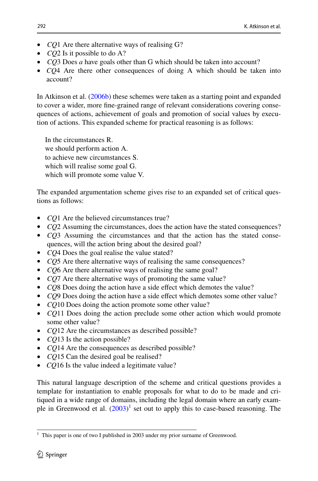- *CQ*1 Are there alternative ways of realising G?
- *CQ*2 Is it possible to do A?
- *CQ*3 Does *a* have goals other than G which should be taken into account?
- *CQ*4 Are there other consequences of doing A which should be taken into account?

In Atkinson et al. [\(2006b](#page-39-6)) these schemes were taken as a starting point and expanded to cover a wider, more fine-grained range of relevant considerations covering consequences of actions, achievement of goals and promotion of social values by execution of actions. This expanded scheme for practical reasoning is as follows:

In the circumstances R. we should perform action A. to achieve new circumstances S. which will realise some goal G. which will promote some value V.

The expanded argumentation scheme gives rise to an expanded set of critical ques– tions as follows:

- *CQ*1 Are the believed circumstances true?
- *CQ*2 Assuming the circumstances, does the action have the stated consequences?
- *CQ*3 Assuming the circumstances and that the action has the stated consequences, will the action bring about the desired goal?
- *CQ*4 Does the goal realise the value stated?
- *CQ*5 Are there alternative ways of realising the same consequences?
- *CQ*6 Are there alternative ways of realising the same goal?
- *CQ*7 Are there alternative ways of promoting the same value?
- *CQ8* Does doing the action have a side effect which demotes the value?
- *CQ*9 Does doing the action have a side efect which demotes some other value?
- *CQ*10 Does doing the action promote some other value?
- *CQ*11 Does doing the action preclude some other action which would promote some other value?
- *CQ*12 Are the circumstances as described possible?
- *CQ*13 Is the action possible?
- *CQ*14 Are the consequences as described possible?
- *CQ*15 Can the desired goal be realised?
- *CQ*16 Is the value indeed a legitimate value?

This natural language description of the scheme and critical questions provides a template for instantiation to enable proposals for what to do to be made and critiqued in a wide range of domains, including the legal domain where an early example in Greenwood et al.  $(2003)^1$  $(2003)^1$  $(2003)^1$  set out to apply this to case-based reasoning. The

<span id="page-11-0"></span><sup>&</sup>lt;sup>1</sup> This paper is one of two I published in 2003 under my prior surname of Greenwood.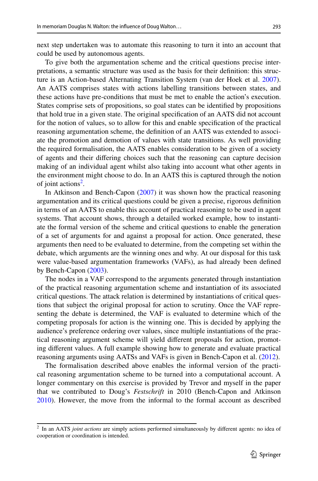next step undertaken was to automate this reasoning to turn it into an account that could be used by autonomous agents.

To give both the argumentation scheme and the critical questions precise inter‑ pretations, a semantic structure was used as the basis for their defnition: this struc‑ ture is an Action-based Alternating Transition System (van der Hoek et al. [2007\)](#page-43-8). An AATS comprises states with actions labelling transitions between states, and these actions have pre-conditions that must be met to enable the action's execution. States comprise sets of propositions, so goal states can be identifed by propositions that hold true in a given state. The original specifcation of an AATS did not account for the notion of values, so to allow for this and enable specifcation of the practical reasoning argumentation scheme, the definition of an AATS was extended to associate the promotion and demotion of values with state transitions. As well providing the required formalisation, the AATS enables consideration to be given of a society of agents and their difering choices such that the reasoning can capture decision making of an individual agent whilst also taking into account what other agents in the environment might choose to do. In an AATS this is captured through the notion of joint actions<sup>2</sup>.

In Atkinson and Bench-Capon ([2007\)](#page-39-7) it was shown how the practical reasoning argumentation and its critical questions could be given a precise, rigorous defnition in terms of an AATS to enable this account of practical reasoning to be used in agent systems. That account shows, through a detailed worked example, how to instantiate the formal version of the scheme and critical questions to enable the generation of a set of arguments for and against a proposal for action. Once generated, these arguments then need to be evaluated to determine, from the competing set within the debate, which arguments are the winning ones and why. At our disposal for this task were value-based argumentation frameworks (VAFs), as had already been defned by Bench-Capon ([2003\)](#page-39-5).

The nodes in a VAF correspond to the arguments generated through instantiation of the practical reasoning argumentation scheme and instantiation of its associated critical questions. The attack relation is determined by instantiations of critical ques‑ tions that subject the original proposal for action to scrutiny. Once the VAF repre‑ senting the debate is determined, the VAF is evaluated to determine which of the competing proposals for action is the winning one. This is decided by applying the audience's preference ordering over values, since multiple instantiations of the practical reasoning argument scheme will yield different proposals for action, promoting diferent values. A full example showing how to generate and evaluate practical reasoning arguments using AATSs and VAFs is given in Bench-Capon et al. [\(2012](#page-39-8)).

The formalisation described above enables the informal version of the practical reasoning argumentation scheme to be turned into a computational account. A longer commentary on this exercise is provided by Trevor and myself in the paper that we contributed to Doug's *Festschrift* in 2010 (Bench-Capon and Atkinson [2010](#page-39-9)). However, the move from the informal to the formal account as described

<span id="page-12-0"></span><sup>2</sup> In an AATS *joint actions* are simply actions performed simultaneously by diferent agents: no idea of cooperation or coordination is intended.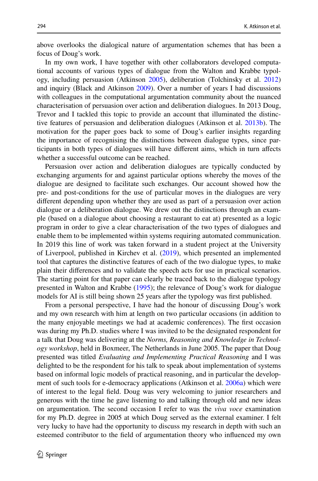above overlooks the dialogical nature of argumentation schemes that has been a focus of Doug's work.

In my own work, I have together with other collaborators developed computational accounts of various types of dialogue from the Walton and Krabbe typology, including persuasion (Atkinson [2005](#page-39-3)), deliberation (Tolchinsky et al. [2012](#page-43-9)) and inquiry (Black and Atkinson [2009\)](#page-40-7). Over a number of years I had discussions with colleagues in the computational argumentation community about the nuanced characterisation of persuasion over action and deliberation dialogues. In 2013 Doug, Trevor and I tackled this topic to provide an account that illuminated the distinc‑ tive features of persuasion and deliberation dialogues (Atkinson et al. [2013b\)](#page-39-2). The motivation for the paper goes back to some of Doug's earlier insights regarding the importance of recognising the distinctions between dialogue types, since par ticipants in both types of dialogues will have diferent aims, which in turn afects whether a successful outcome can be reached.

Persuasion over action and deliberation dialogues are typically conducted by exchanging arguments for and against particular options whereby the moves of the dialogue are designed to facilitate such exchanges. Our account showed how the pre- and post-conditions for the use of particular moves in the dialogues are very diferent depending upon whether they are used as part of a persuasion over action dialogue or a deliberation dialogue. We drew out the distinctions through an example (based on a dialogue about choosing a restaurant to eat at) presented as a logic program in order to give a clear characterisation of the two types of dialogues and enable them to be implemented within systems requiring automated communication. In 2019 this line of work was taken forward in a student project at the University of Liverpool, published in Kirchev et al. [\(2019](#page-41-9)), which presented an implemented tool that captures the distinctive features of each of the two dialogue types, to make plain their diferences and to validate the speech acts for use in practical scenarios. The starting point for that paper can clearly be traced back to the dialogue typology presented in Walton and Krabbe ([1995\)](#page-44-5); the relevance of Doug's work for dialogue models for AI is still being shown 25 years after the typology was frst published.

From a personal perspective, I have had the honour of discussing Doug's work and my own research with him at length on two particular occasions (in addition to the many enjoyable meetings we had at academic conferences). The frst occasion was during my Ph.D. studies where I was invited to be the designated respondent for a talk that Doug was delivering at the *Norms, Reasoning and Knowledge in Technology workshop*, held in Boxmeer, The Netherlands in June 2005. The paper that Doug presented was titled *Evaluating and Implementing Practical Reasoning* and I was delighted to be the respondent for his talk to speak about implementation of systems based on informal logic models of practical reasoning, and in particular the development of such tools for e-democracy applications (Atkinson et al. [2006a](#page-39-10)) which were of interest to the legal feld. Doug was very welcoming to junior researchers and generous with the time he gave listening to and talking through old and new ideas on argumentation. The second occasion I refer to was the *viva voce* examination for my Ph.D. degree in 2005 at which Doug served as the external examiner. I felt very lucky to have had the opportunity to discuss my research in depth with such an esteemed contributor to the feld of argumentation theory who infuenced my own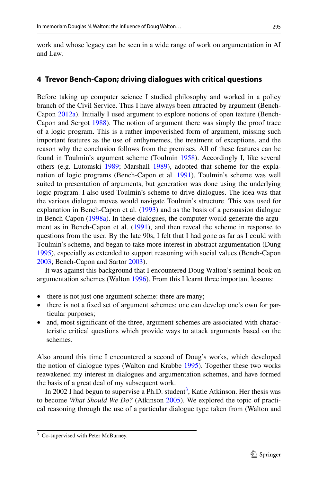work and whose legacy can be seen in a wide range of work on argumentation in AI and Law.

# **4 Trevor Bench‑Capon; driving dialogues with critical questions**

Before taking up computer science I studied philosophy and worked in a policy branch of the Civil Service. Thus I have always been attracted by argument (Bench-Capon [2012a\)](#page-39-11). Initially I used argument to explore notions of open texture (Bench-Capon and Sergot [1988](#page-39-12)). The notion of argument there was simply the proof trace of a logic program. This is a rather impoverished form of argument, missing such important features as the use of enthymemes, the treatment of exceptions, and the reason why the conclusion follows from the premises. All of these features can be found in Toulmin's argument scheme (Toulmin [1958](#page-43-4)). Accordingly I, like several others (e.g. Lutomski [1989](#page-41-3); Marshall [1989\)](#page-42-3), adopted that scheme for the explanation of logic programs (Bench-Capon et al. [1991](#page-39-13)). Toulmin's scheme was well suited to presentation of arguments, but generation was done using the underlying logic program. I also used Toulmin's scheme to drive dialogues. The idea was that the various dialogue moves would navigate Toulmin's structure. This was used for explanation in Bench-Capon et al. ([1993\)](#page-39-14) and as the basis of a persuasion dialogue in Bench-Capon [\(1998a\)](#page-39-4). In these dialogues, the computer would generate the argument as in Bench-Capon et al. [\(1991](#page-39-13)), and then reveal the scheme in response to questions from the user. By the late 90s, I felt that I had gone as far as I could with Toulmin's scheme, and began to take more interest in abstract argumentation (Dung [1995](#page-40-2)), especially as extended to support reasoning with social values (Bench-Capon [2003](#page-39-5); Bench-Capon and Sartor [2003\)](#page-39-15).

It was against this background that I encountered Doug Walton's seminal book on argumentation schemes (Walton [1996](#page-44-6)). From this I learnt three important lessons:

- there is not just one argument scheme: there are many;
- there is not a fixed set of argument schemes: one can develop one's own for par ticular purposes;
- and, most significant of the three, argument schemes are associated with charac– teristic critical questions which provide ways to attack arguments based on the schemes.

Also around this time I encountered a second of Doug's works, which developed the notion of dialogue types (Walton and Krabbe [1995](#page-44-5)). Together these two works reawakened my interest in dialogues and argumentation schemes, and have formed the basis of a great deal of my subsequent work.

In 2002 I had begun to supervise a Ph.D. student<sup>3</sup>, Katie Atkinson. Her thesis was to become *What Should We Do?* (Atkinson [2005\)](#page-39-3). We explored the topic of practical reasoning through the use of a particular dialogue type taken from (Walton and

<span id="page-14-0"></span><sup>&</sup>lt;sup>3</sup> Co-supervised with Peter McBurney.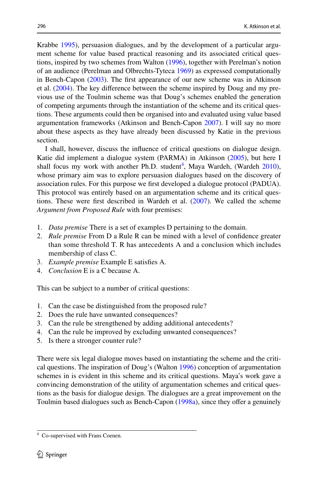Krabbe [1995\)](#page-44-5), persuasion dialogues, and by the development of a particular argument scheme for value based practical reasoning and its associated critical ques tions, inspired by two schemes from Walton ([1996\)](#page-44-6), together with Perelman's notion of an audience (Perelman and Olbrechts-Tyteca [1969](#page-42-2)) as expressed computationally in Bench-Capon ([2003\)](#page-39-5). The frst appearance of our new scheme was in Atkinson et al.  $(2004)$  $(2004)$ . The key difference between the scheme inspired by Doug and my pre– vious use of the Toulmin scheme was that Doug's schemes enabled the generation of competing arguments through the instantiation of the scheme and its critical ques tions. These arguments could then be organised into and evaluated using value based argumentation frameworks (Atkinson and Bench-Capon [2007\)](#page-39-7). I will say no more about these aspects as they have already been discussed by Katie in the previous section.

I shall, however, discuss the infuence of critical questions on dialogue design. Katie did implement a dialogue system (PARMA) in Atkinson ([2005\)](#page-39-3), but here I shall focus my work with another Ph.D. student<sup>[4](#page-15-0)</sup>, Maya Wardeh, (Wardeh [2010\)](#page-44-17), whose primary aim was to explore persuasion dialogues based on the discovery of association rules. For this purpose we frst developed a dialogue protocol (PADUA). This protocol was entirely based on an argumentation scheme and its critical ques tions. These were frst described in Wardeh et al. ([2007\)](#page-44-18). We called the scheme *Argument from Proposed Rule* with four premises:

- 1. *Data premise* There is a set of examples D pertaining to the domain.
- 2. *Rule premise* From D a Rule R can be mined with a level of confdence greater than some threshold T. R has antecedents A and a conclusion which includes membership of class C.
- 3. *Example premise* Example E satisfes A.
- 4. *Conclusion* E is a C because A.

This can be subject to a number of critical questions:

- 1. Can the case be distinguished from the proposed rule?
- 2. Does the rule have unwanted consequences?
- 3. Can the rule be strengthened by adding additional antecedents?
- 4. Can the rule be improved by excluding unwanted consequences?
- 5. Is there a stronger counter rule?

There were six legal dialogue moves based on instantiating the scheme and the critical questions. The inspiration of Doug's (Walton [1996\)](#page-44-6) conception of argumentation schemes in is evident in this scheme and its critical questions. Maya's work gave a convincing demonstration of the utility of argumentation schemes and critical ques tions as the basis for dialogue design. The dialogues are a great improvement on the Toulmin based dialogues such as Bench-Capon ([1998a](#page-39-4)), since they offer a genuinely

<span id="page-15-0"></span><sup>4</sup> Co-supervised with Frans Coenen.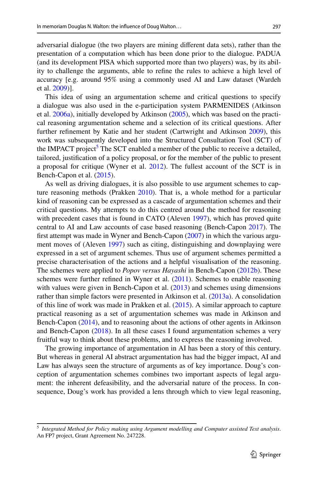adversarial dialogue (the two players are mining diferent data sets), rather than the presentation of a computation which has been done prior to the dialogue. PADUA (and its development PISA which supported more than two players) was, by its abil‑ ity to challenge the arguments, able to refne the rules to achieve a high level of accuracy [e.g. around 95% using a commonly used AI and Law dataset (Wardeh et al. [2009\)](#page-44-19)].

This idea of using an argumentation scheme and critical questions to specify a dialogue was also used in the e-participation system PARMENIDES (Atkinson et al.  $2006a$ ), initially developed by Atkinson  $(2005)$  $(2005)$ , which was based on the practical reasoning argumentation scheme and a selection of its critical questions. After further refnement by Katie and her student (Cartwright and Atkinson [2009](#page-40-8)), this work was subsequently developed into the Structured Consultation Tool (SCT) of the IMPACT project<sup>[5](#page-16-0)</sup> The SCT enabled a member of the public to receive a detailed, tailored, justifcation of a policy proposal, or for the member of the public to present a proposal for critique (Wyner et al. [2012](#page-45-0)). The fullest account of the SCT is in Bench-Capon et al. ([2015\)](#page-39-17).

As well as driving dialogues, it is also possible to use argument schemes to cap– ture reasoning methods (Prakken [2010\)](#page-42-4). That is, a whole method for a particular kind of reasoning can be expressed as a cascade of argumentation schemes and their critical questions. My attempts to do this centred around the method for reasoning with precedent cases that is found in CATO (Aleven [1997](#page-38-0)), which has proved quite central to AI and Law accounts of case based reasoning (Bench-Capon [2017\)](#page-39-18). The first attempt was made in Wyner and Bench-Capon  $(2007)$  $(2007)$  in which the various argument moves of (Aleven [1997](#page-38-0)) such as citing, distinguishing and downplaying were expressed in a set of argument schemes. Thus use of argument schemes permitted a precise characterisation of the actions and a helpful visualisation of the reasoning. The schemes were applied to *Popov versus Hayashi* in Bench-Capon [\(2012b](#page-39-19)). These schemes were further refned in Wyner et al. ([2011\)](#page-45-1). Schemes to enable reasoning with values were given in Bench-Capon et al. [\(2013](#page-39-20)) and schemes using dimensions rather than simple factors were presented in Atkinson et al. [\(2013a](#page-39-21)). A consolidation of this line of work was made in Prakken et al. ([2015\)](#page-42-5). A similar approach to capture practical reasoning as a set of argumentation schemes was made in Atkinson and Bench-Capon ([2014\)](#page-39-22), and to reasoning about the actions of other agents in Atkinson and Bench-Capon [\(2018](#page-39-23)). In all these cases I found argumentation schemes a very fruitful way to think about these problems, and to express the reasoning involved.

The growing importance of argumentation in AI has been a story of this century. But whereas in general AI abstract argumentation has had the bigger impact, AI and Law has always seen the structure of arguments as of key importance. Doug's conception of argumentation schemes combines two important aspects of legal argument: the inherent defeasibility, and the adversarial nature of the process. In consequence, Doug's work has provided a lens through which to view legal reasoning,

<span id="page-16-0"></span><sup>5</sup> *Integrated Method for Policy making using Argument modelling and Computer assisted Text analysis*. An FP7 project, Grant Agreement No. 247228.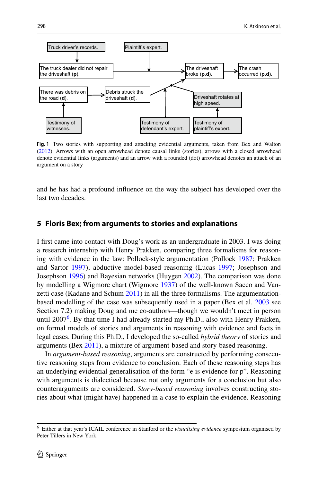

<span id="page-17-1"></span>**Fig. 1** Two stories with supporting and attacking evidential arguments, taken from Bex and Walton ([2012\)](#page-40-10). Arrows with an open arrowhead denote causal links (stories), arrows with a closed arrowhead denote evidential links (arguments) and an arrow with a rounded (dot) arrowhead denotes an attack of an argument on a story

and he has had a profound infuence on the way the subject has developed over the last two decades.

## **5 Floris Bex; from arguments to stories and explanations**

I frst came into contact with Doug's work as an undergraduate in 2003. I was doing a research internship with Henry Prakken, comparing three formalisms for reasoning with evidence in the law: Pollock-style argumentation (Pollock [1987](#page-42-6); Prakken and Sartor [1997\)](#page-42-7), abductive model-based reasoning (Lucas [1997;](#page-41-10) Josephson and Josephson [1996\)](#page-41-11) and Bayesian networks (Huygen [2002\)](#page-41-12). The comparison was done by modelling a Wigmore chart (Wigmore [1937\)](#page-44-21) of the well-known Sacco and Van– zetti case (Kadane and Schum [2011\)](#page-41-13) in all the three formalisms. The argumentationbased modelling of the case was subsequently used in a paper (Bex et al. [2003](#page-40-9) see Section 7.2) making Doug and me co-authors—though we wouldn't meet in person until 2007<sup>[6](#page-17-0)</sup>. By that time I had already started my Ph.D., also with Henry Prakken, on formal models of stories and arguments in reasoning with evidence and facts in legal cases. During this Ph.D., I developed the so-called *hybrid theory* of stories and arguments (Bex [2011\)](#page-39-24), a mixture of argument-based and story-based reasoning.

In *argument-based reasoning*, arguments are constructed by performing consecutive reasoning steps from evidence to conclusion. Each of these reasoning steps has an underlying evidential generalisation of the form "e is evidence for p". Reasoning with arguments is dialectical because not only arguments for a conclusion but also counterarguments are considered. *Story-based reasoning* involves constructing stories about what (might have) happened in a case to explain the evidence. Reasoning

<span id="page-17-0"></span><sup>6</sup> Either at that year's ICAIL conference in Stanford or the *visualising evidence* symposium organised by Peter Tillers in New York.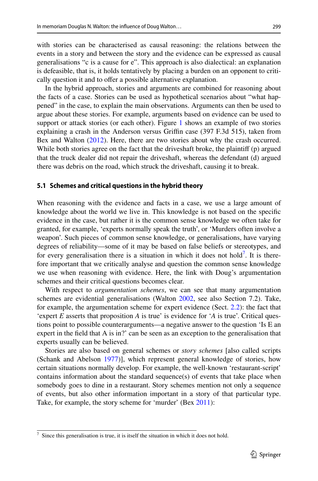with stories can be characterised as causal reasoning: the relations between the events in a story and between the story and the evidence can be expressed as causal generalisations "c is a cause for e". This approach is also dialectical: an explanation is defeasible, that is, it holds tentatively by placing a burden on an opponent to critically question it and to offer a possible alternative explanation.

In the hybrid approach, stories and arguments are combined for reasoning about the facts of a case. Stories can be used as hypothetical scenarios about "what happened" in the case, to explain the main observations. Arguments can then be used to argue about these stories. For example, arguments based on evidence can be used to support or attack stories (or each other). Figure [1](#page-17-1) shows an example of two stories explaining a crash in the Anderson versus Griffin case (397 F.3d 515), taken from Bex and Walton ([2012\)](#page-40-10). Here, there are two stories about why the crash occurred. While both stories agree on the fact that the driveshaft broke, the plaintiff (p) argued that the truck dealer did not repair the driveshaft, whereas the defendant (d) argued there was debris on the road, which struck the driveshaft, causing it to break.

#### **5.1 Schemes and critical questions in the hybrid theory**

When reasoning with the evidence and facts in a case, we use a large amount of knowledge about the world we live in. This knowledge is not based on the specifc evidence in the case, but rather it is the common sense knowledge we often take for granted, for example, 'experts normally speak the truth', or 'Murders often involve a weapon'. Such pieces of common sense knowledge, or generalisations, have varying degrees of reliability—some of it may be based on false beliefs or stereotypes, and for every generalisation there is a situation in which it does not hold<sup>[7](#page-18-0)</sup>. It is therefore important that we critically analyse and question the common sense knowledge we use when reasoning with evidence. Here, the link with Doug's argumentation schemes and their critical questions becomes clear.

With respect to *argumentation schemes*, we can see that many argumentation schemes are evidential generalisations (Walton [2002](#page-44-0), see also Section 7.2). Take, for example, the argumentation scheme for expert evidence (Sect. [2.2](#page-6-0)): the fact that 'expert *E* asserts that proposition *A* is true' is evidence for '*A* is true'. Critical ques tions point to possible counterarguments—a negative answer to the question 'Is E an expert in the feld that A is in?' can be seen as an exception to the generalisation that experts usually can be believed.

Stories are also based on general schemes or *story schemes* [also called scripts (Schank and Abelson [1977](#page-43-10))], which represent general knowledge of stories, how certain situations normally develop. For example, the well-known 'restaurant-script' contains information about the standard sequence(s) of events that take place when somebody goes to dine in a restaurant. Story schemes mention not only a sequence of events, but also other information important in a story of that particular type. Take, for example, the story scheme for 'murder' (Bex [2011](#page-39-24)):

<span id="page-18-0"></span> $\frac{7}{1}$  Since this generalisation is true, it is itself the situation in which it does not hold.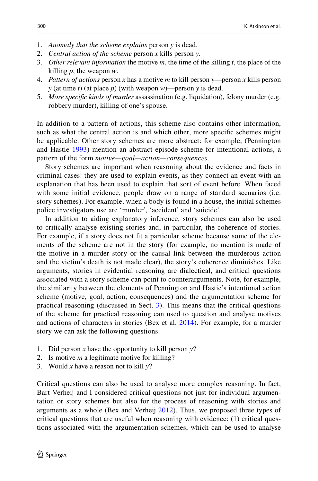- 1. *Anomaly that the scheme explains* person *y* is dead.
- 2. *Central action of the scheme* person *x* kills person *y*.
- 3. *Other relevant information* the motive *m*, the time of the killing *t*, the place of the killing *p*, the weapon *w*.
- 4. *Pattern of actions* person *x* has a motive *m* to kill person *y*—person *x* kills person *y* (at time *t*) (at place *p*) (with weapon *w*)—person *y* is dead.
- 5. *More specifc kinds of murder* assassination (e.g. liquidation), felony murder (e.g. robbery murder), killing of one's spouse.

In addition to a pattern of actions, this scheme also contains other information, such as what the central action is and which other, more specifc schemes might be applicable. Other story schemes are more abstract: for example, (Pennington and Hastie [1993](#page-42-8)) mention an abstract episode scheme for intentional actions, a pattern of the form *motive—goal—action—consequences*.

Story schemes are important when reasoning about the evidence and facts in criminal cases: they are used to explain events, as they connect an event with an explanation that has been used to explain that sort of event before. When faced with some initial evidence, people draw on a range of standard scenarios (i.e. story schemes). For example, when a body is found in a house, the initial schemes police investigators use are 'murder', 'accident' and 'suicide'.

In addition to aiding explanatory inference, story schemes can also be used to critically analyse existing stories and, in particular, the coherence of stories. For example, if a story does not fit a particular scheme because some of the elements of the scheme are not in the story (for example, no mention is made of the motive in a murder story or the causal link between the murderous action and the victim's death is not made clear), the story's coherence diminishes. Like arguments, stories in evidential reasoning are dialectical, and critical questions associated with a story scheme can point to counterarguments. Note, for example, the similarity between the elements of Pennington and Hastie's intentional action scheme (motive, goal, action, consequences) and the argumentation scheme for practical reasoning (discussed in Sect. [3\)](#page-9-0). This means that the critical questions of the scheme for practical reasoning can used to question and analyse motives and actions of characters in stories (Bex et al. [2014](#page-40-11)). For example, for a murder story we can ask the following questions.

- 1. Did person *x* have the opportunity to kill person *y*?
- 2. Is motive *m* a legitimate motive for killing?
- 3. Would *x* have a reason not to kill *y*?

Critical questions can also be used to analyse more complex reasoning. In fact, Bart Verheij and I considered critical questions not just for individual argumen– tation or story schemes but also for the process of reasoning with stories and arguments as a whole (Bex and Verheij [2012](#page-40-12)). Thus, we proposed three types of critical questions that are useful when reasoning with evidence:  $(1)$  critical ques tions associated with the argumentation schemes, which can be used to analyse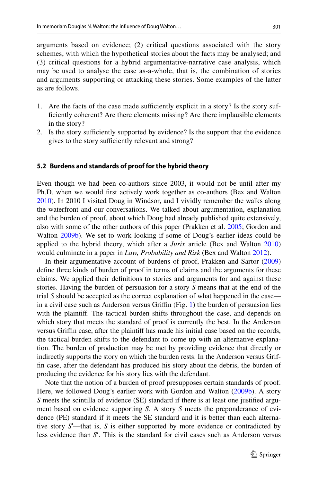arguments based on evidence; (2) critical questions associated with the story schemes, with which the hypothetical stories about the facts may be analysed; and (3) critical questions for a hybrid argumentative-narrative case analysis, which may be used to analyse the case as-a-whole, that is, the combination of stories and arguments supporting or attacking these stories. Some examples of the latter as are follows.

- 1. Are the facts of the case made sufficiently explicit in a story? Is the story suffciently coherent? Are there elements missing? Are there implausible elements in the story?
- 2. Is the story sufficiently supported by evidence? Is the support that the evidence gives to the story sufficiently relevant and strong?

### **5.2 Burdens and standards of proof for the hybrid theory**

Even though we had been co-authors since 2003, it would not be until after my Ph.D. when we would frst actively work together as co-authors (Bex and Walton [2010](#page-40-13)). In 2010 I visited Doug in Windsor, and I vividly remember the walks along the waterfront and our conversations. We talked about argumentation, explanation and the burden of proof, about which Doug had already published quite extensively, also with some of the other authors of this paper (Prakken et al. [2005](#page-42-9); Gordon and Walton [2009b\)](#page-41-14). We set to work looking if some of Doug's earlier ideas could be applied to the hybrid theory, which after a *Jurix* article (Bex and Walton [2010](#page-40-13)) would culminate in a paper in *Law, Probability and Risk* (Bex and Walton [2012](#page-40-10)).

In their argumentative account of burdens of proof, Prakken and Sartor [\(2009](#page-42-10)) defne three kinds of burden of proof in terms of claims and the arguments for these claims. We applied their defnitions to stories and arguments for and against these stories. Having the burden of persuasion for a story *S* means that at the end of the trial *S* should be accepted as the correct explanation of what happened in the case— in a civil case such as Anderson versus Griffin (Fig. [1\)](#page-17-1) the burden of persuasion lies with the plaintif. The tactical burden shifts throughout the case, and depends on which story that meets the standard of proof is currently the best. In the Anderson versus Grifn case, after the plaintif has made his initial case based on the records, the tactical burden shifts to the defendant to come up with an alternative explanation. The burden of production may be met by providing evidence that directly or indirectly supports the story on which the burden rests. In the Anderson versus Griffn case, after the defendant has produced his story about the debris, the burden of producing the evidence for his story lies with the defendant.

Note that the notion of a burden of proof presupposes certain standards of proof. Here, we followed Doug's earlier work with Gordon and Walton [\(2009b](#page-41-14)). A story *S* meets the scintilla of evidence (SE) standard if there is at least one justified argument based on evidence supporting *S*. A story *S* meets the preponderance of evidence (PE) standard if it meets the SE standard and it is better than each alternative story *S*′ —that is, *S* is either supported by more evidence or contradicted by less evidence than *S*′ . This is the standard for civil cases such as Anderson versus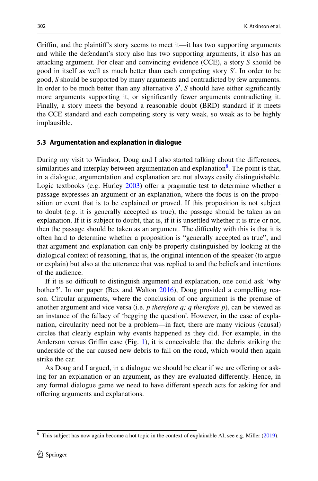Grifn, and the plaintif's story seems to meet it—it has two supporting arguments and while the defendant's story also has two supporting arguments, it also has an attacking argument. For clear and convincing evidence (CCE), a story *S* should be good in itself as well as much better than each competing story *S*′ . In order to be good, *S* should be supported by many arguments and contradicted by few arguments. In order to be much better than any alternative *S*′ , *S* should have either signifcantly more arguments supporting it, or signifcantly fewer arguments contradicting it. Finally, a story meets the beyond a reasonable doubt (BRD) standard if it meets the CCE standard and each competing story is very weak, so weak as to be highly implausible.

### **5.3 Argumentation and explanation in dialogue**

During my visit to Windsor, Doug and I also started talking about the diferences, similarities and interplay between argumentation and explanation<sup>8</sup>. The point is that, in a dialogue, argumentation and explanation are not always easily distinguishable. Logic textbooks (e.g. Hurley [2003](#page-41-15)) offer a pragmatic test to determine whether a passage expresses an argument or an explanation, where the focus is on the proposition or event that is to be explained or proved. If this proposition is not subject to doubt (e.g. it is generally accepted as true), the passage should be taken as an explanation. If it is subject to doubt, that is, if it is unsettled whether it is true or not, then the passage should be taken as an argument. The difficulty with this is that it is often hard to determine whether a proposition is "generally accepted as true", and that argument and explanation can only be properly distinguished by looking at the dialogical context of reasoning, that is, the original intention of the speaker (to argue or explain) but also at the utterance that was replied to and the beliefs and intentions of the audience.

If it is so difficult to distinguish argument and explanation, one could ask 'why bother?'. In our paper (Bex and Walton [2016](#page-40-14)), Doug provided a compelling reason. Circular arguments, where the conclusion of one argument is the premise of another argument and vice versa (i.e. *p therefore q; q therefore p*), can be viewed as an instance of the fallacy of 'begging the question'. However, in the case of explanation, circularity need not be a problem—in fact, there are many vicious (causal) circles that clearly explain why events happened as they did. For example, in the Anderson versus Grifn case (Fig. [1](#page-17-1)), it is conceivable that the debris striking the underside of the car caused new debris to fall on the road, which would then again strike the car.

As Doug and I argued, in a dialogue we should be clear if we are offering or ask– ing for an explanation or an argument, as they are evaluated diferently. Hence, in any formal dialogue game we need to have diferent speech acts for asking for and ofering arguments and explanations.

<span id="page-21-0"></span> $8$  This subject has now again become a hot topic in the context of explainable AI, see e.g. Miller [\(2019](#page-42-11)).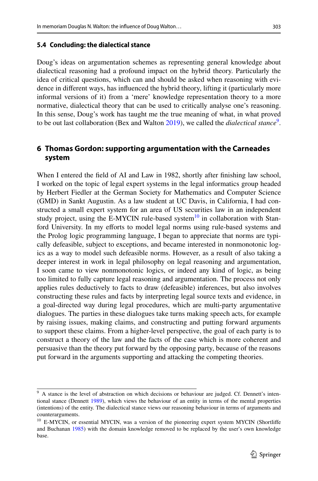### **5.4 Concluding: the dialectical stance**

Doug's ideas on argumentation schemes as representing general knowledge about dialectical reasoning had a profound impact on the hybrid theory. Particularly the idea of critical questions, which can and should be asked when reasoning with evidence in diferent ways, has infuenced the hybrid theory, lifting it (particularly more informal versions of it) from a 'mere' knowledge representation theory to a more normative, dialectical theory that can be used to critically analyse one's reasoning. In this sense, Doug's work has taught me the true meaning of what, in what proved to be out last collaboration (Bex and Walton [2019](#page-40-15)), we called the *dialectical stance*[9](#page-22-0) .

# <span id="page-22-2"></span>**6 Thomas Gordon: supporting argumentation with the Carneades system**

When I entered the field of AI and Law in 1982, shortly after finishing law school, I worked on the topic of legal expert systems in the legal informatics group headed by Herbert Fiedler at the German Society for Mathematics and Computer Science (GMD) in Sankt Augustin. As a law student at UC Davis, in California, I had constructed a small expert system for an area of US securities law in an independent study project, using the E-MYCIN rule-based system<sup>10</sup> in collaboration with Stan– ford University. In my efforts to model legal norms using rule-based systems and the Prolog logic programming language, I began to appreciate that norms are typically defeasible, subject to exceptions, and became interested in nonmonotonic logics as a way to model such defeasible norms. However, as a result of also taking a deeper interest in work in legal philosophy on legal reasoning and argumentation, I soon came to view nonmonotonic logics, or indeed any kind of logic, as being too limited to fully capture legal reasoning and argumentation. The process not only applies rules deductively to facts to draw (defeasible) inferences, but also involves constructing these rules and facts by interpreting legal source texts and evidence, in a goal-directed way during legal procedures, which are multi-party argumentative dialogues. The parties in these dialogues take turns making speech acts, for example by raising issues, making claims, and constructing and putting forward arguments to support these claims. From a higher-level perspective, the goal of each party is to construct a theory of the law and the facts of the case which is more coherent and persuasive than the theory put forward by the opposing party, because of the reasons put forward in the arguments supporting and attacking the competing theories.

<span id="page-22-0"></span><sup>&</sup>lt;sup>9</sup> A stance is the level of abstraction on which decisions or behaviour are judged. Cf. Dennett's intentional stance (Dennett [1989](#page-40-16)), which views the behaviour of an entity in terms of the mental properties (intentions) of the entity. The dialectical stance views our reasoning behaviour in terms of arguments and counterarguments.

<span id="page-22-1"></span><sup>&</sup>lt;sup>10</sup> E-MYCIN, or essential MYCIN, was a version of the pioneering expert system MYCIN (Shortliffe and Buchanan [1985\)](#page-43-11) with the domain knowledge removed to be replaced by the user's own knowledge base.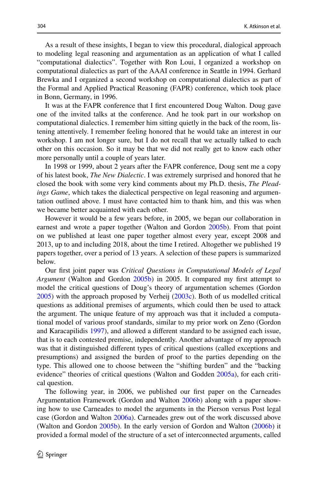As a result of these insights, I began to view this procedural, dialogical approach to modeling legal reasoning and argumentation as an application of what I called "computational dialectics". Together with Ron Loui, I organized a workshop on computational dialectics as part of the AAAI conference in Seattle in 1994. Gerhard Brewka and I organized a second workshop on computational dialectics as part of the Formal and Applied Practical Reasoning (FAPR) conference, which took place in Bonn, Germany, in 1996.

It was at the FAPR conference that I frst encountered Doug Walton. Doug gave one of the invited talks at the conference. And he took part in our workshop on computational dialectics. I remember him sitting quietly in the back of the room, lis‑ tening attentively. I remember feeling honored that he would take an interest in our workshop. I am not longer sure, but I do not recall that we actually talked to each other on this occasion. So it may be that we did not really get to know each other more personally until a couple of years later.

In 1998 or 1999, about 2 years after the FAPR conference, Doug sent me a copy of his latest book, *The New Dialectic*. I was extremely surprised and honored that he closed the book with some very kind comments about my Ph.D. thesis, *The Pleadings Game*, which takes the dialectical perspective on legal reasoning and argumen– tation outlined above. I must have contacted him to thank him, and this was when we became better acquainted with each other.

However it would be a few years before, in 2005, we began our collaboration in earnest and wrote a paper together (Walton and Gordon [2005b](#page-44-22)). From that point on we published at least one paper together almost every year, except 2008 and 2013, up to and including 2018, about the time I retired. Altogether we published 19 papers together, over a period of 13 years. A selection of these papers is summarized below.

Our frst joint paper was *Critical Questions in Computational Models of Legal Argument* (Walton and Gordon [2005b](#page-44-22)) in 2005. It compared my first attempt to model the critical questions of Doug's theory of argumentation schemes (Gordon [2005](#page-40-17)) with the approach proposed by Verheij ([2003c](#page-43-12)). Both of us modelled critical questions as additional premises of arguments, which could then be used to attack the argument. The unique feature of my approach was that it included a computational model of various proof standards, similar to my prior work on Zeno (Gordon and Karacapilidis [1997](#page-40-18)), and allowed a diferent standard to be assigned each issue, that is to each contested premise, independently. Another advantage of my approach was that it distinguished diferent types of critical questions (called exceptions and presumptions) and assigned the burden of proof to the parties depending on the type. This allowed one to choose between the "shifting burden" and the "backing evidence" theories of critical questions (Walton and Godden [2005a](#page-44-23)), for each critical question.

The following year, in 2006, we published our frst paper on the Carneades Argumentation Framework (Gordon and Walton [2006b\)](#page-40-19) along with a paper showing how to use Carneades to model the arguments in the Pierson versus Post legal case (Gordon and Walton [2006a\)](#page-40-20). Carneades grew out of the work discussed above (Walton and Gordon [2005b](#page-44-22)). In the early version of Gordon and Walton [\(2006b](#page-40-19)) it provided a formal model of the structure of a set of interconnected arguments, called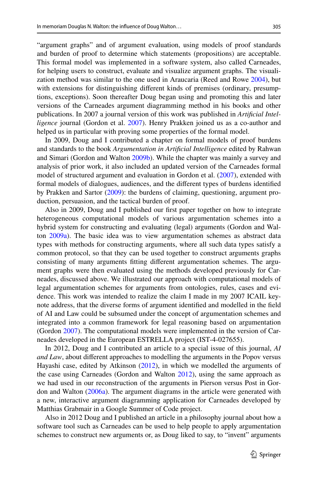"argument graphs" and of argument evaluation, using models of proof standards and burden of proof to determine which statements (propositions) are acceptable. This formal model was implemented in a software system, also called Carneades, for helping users to construct, evaluate and visualize argument graphs. The visualization method was similar to the one used in Araucaria (Reed and Rowe [2004\)](#page-42-12), but with extensions for distinguishing different kinds of premises (ordinary, presumptions, exceptions). Soon thereafter Doug began using and promoting this and later versions of the Carneades argument diagramming method in his books and other publications. In 2007 a journal version of this work was published in *Artifcial Intelligence* journal (Gordon et al. [2007\)](#page-41-16). Henry Prakken joined us as a co-author and helped us in particular with proving some properties of the formal model.

In 2009, Doug and I contributed a chapter on formal models of proof burdens and standards to the book *Argumentation in Artifcial Intelligence* edited by Rahwan and Simari (Gordon and Walton [2009b](#page-41-14)). While the chapter was mainly a survey and analysis of prior work, it also included an updated version of the Carneades formal model of structured argument and evaluation in Gordon et al. [\(2007](#page-41-16)), extended with formal models of dialogues, audiences, and the diferent types of burdens identifed by Prakken and Sartor [\(2009](#page-42-10)): the burdens of claiming, questioning, argument production, persuasion, and the tactical burden of proof.

Also in 2009, Doug and I published our frst paper together on how to integrate heterogeneous computational models of various argumentation schemes into a hybrid system for constructing and evaluating (legal) arguments (Gordon and Walton [2009a\)](#page-41-17). The basic idea was to view argumentation schemes as abstract data types with methods for constructing arguments, where all such data types satisfy a common protocol, so that they can be used together to construct arguments graphs consisting of many arguments fitting different argumentation schemes. The argument graphs were then evaluated using the methods developed previously for Carneades, discussed above. We illustrated our approach with computational models of legal argumentation schemes for arguments from ontologies, rules, cases and evidence. This work was intended to realize the claim I made in my 2007 ICAIL keynote address, that the diverse forms of argument identifed and modelled in the feld of AI and Law could be subsumed under the concept of argumentation schemes and integrated into a common framework for legal reasoning based on argumentation (Gordon [2007\)](#page-40-21). The computational models were implemented in the version of Carneades developed in the European ESTRELLA project (IST-4-027655).

In 2012, Doug and I contributed an article to a special issue of this journal, *AI and Law*, about diferent approaches to modelling the arguments in the Popov versus Hayashi case, edited by Atkinson ([2012\)](#page-39-25), in which we modelled the arguments of the case using Carneades (Gordon and Walton [2012\)](#page-41-18), using the same approach as we had used in our reconstruction of the arguments in Pierson versus Post in Gor don and Walton [\(2006a\)](#page-40-20). The argument diagrams in the article were generated with a new, interactive argument diagramming application for Carneades developed by Matthias Grabmair in a Google Summer of Code project.

Also in 2012 Doug and I published an article in a philosophy journal about how a software tool such as Carneades can be used to help people to apply argumentation schemes to construct new arguments or, as Doug liked to say, to "invent" arguments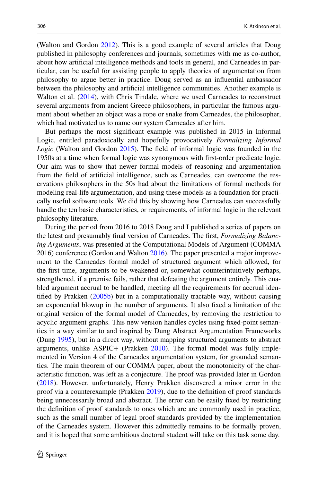(Walton and Gordon [2012\)](#page-44-13). This is a good example of several articles that Doug published in philosophy conferences and journals, sometimes with me as co-author, about how artificial intelligence methods and tools in general, and Carneades in par ticular, can be useful for assisting people to apply theories of argumentation from philosophy to argue better in practice. Doug served as an infuential ambassador between the philosophy and artifcial intelligence communities. Another example is Walton et al. [\(2014](#page-44-24)), with Chris Tindale, where we used Carneades to reconstruct several arguments from ancient Greece philosophers, in particular the famous argument about whether an object was a rope or snake from Carneades, the philosopher, which had motivated us to name our system Carneades after him.

But perhaps the most signifcant example was published in 2015 in Informal Logic, entitled paradoxically and hopefully provocatively *Formalizing Informal Logic* (Walton and Gordon [2015\)](#page-44-16). The feld of informal logic was founded in the 1950s at a time when formal logic was synonymous with frst-order predicate logic. Our aim was to show that newer formal models of reasoning and argumentation from the field of artificial intelligence, such as Carneades, can overcome the res ervations philosophers in the 50s had about the limitations of formal methods for modeling real-life argumentation, and using these models as a foundation for practically useful software tools. We did this by showing how Carneades can successfully handle the ten basic characteristics, or requirements, of informal logic in the relevant philosophy literature.

During the period from 2016 to 2018 Doug and I published a series of papers on the latest and presumably fnal version of Carneades. The frst, *Formalizing Balancing Arguments*, was presented at the Computational Models of Argument (COMMA [2016\)](#page-41-19) conference (Gordon and Walton 2016). The paper presented a major improvement to the Carneades formal model of structured argument which allowed, for the frst time, arguments to be weakened or, somewhat counterintuitively perhaps, strengthened, if a premise fails, rather that defeating the argument entirely. This ena bled argument accrual to be handled, meeting all the requirements for accrual identifed by Prakken [\(2005b](#page-42-13)) but in a computationally tractable way, without causing an exponential blowup in the number of arguments. It also fxed a limitation of the original version of the formal model of Carneades, by removing the restriction to acyclic argument graphs. This new version handles cycles using fixed-point seman– tics in a way similar to and inspired by Dung Abstract Argumentation Frameworks (Dung [1995](#page-40-2)), but in a direct way, without mapping structured arguments to abstract arguments, unlike ASPIC+ (Prakken [2010\)](#page-42-14). The formal model was fully implemented in Version 4 of the Carneades argumentation system, for grounded semantics. The main theorem of our COMMA paper, about the monotonicity of the characteristic function, was left as a conjecture. The proof was provided later in Gordon [\(2018](#page-40-22)). However, unfortunately, Henry Prakken discovered a minor error in the proof via a counterexample (Prakken [2019\)](#page-42-15), due to the defnition of proof standards being unnecessarily broad and abstract. The error can be easily fxed by restricting the defnition of proof standards to ones which are are commonly used in practice, such as the small number of legal proof standards provided by the implementation of the Carneades system. However this admittedly remains to be formally proven, and it is hoped that some ambitious doctoral student will take on this task some day.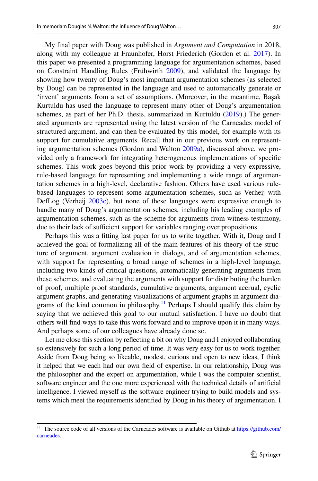My fnal paper with Doug was published in *Argument and Computation* in 2018, along with my colleague at Fraunhofer, Horst Friederich (Gordon et al. [2017](#page-41-20)). In this paper we presented a programming language for argumentation schemes, based on Constraint Handling Rules (Frühwirth [2009\)](#page-40-23), and validated the language by showing how twenty of Doug's most important argumentation schemes (as selected by Doug) can be represented in the language and used to automatically generate or 'invent' arguments from a set of assumptions. (Moreover, in the meantime, Başak Kurtuldu has used the language to represent many other of Doug's argumentation schemes, as part of her Ph.D. thesis, summarized in Kurtuldu ([2019\)](#page-41-21).) The generated arguments are represented using the latest version of the Carneades model of structured argument, and can then be evaluated by this model, for example with its support for cumulative arguments. Recall that in our previous work on represent– ing argumentation schemes (Gordon and Walton [2009a\)](#page-41-17), discussed above, we provided only a framework for integrating heterogeneous implementations of specifc schemes. This work goes beyond this prior work by providing a very expressive, rule-based language for representing and implementing a wide range of argumen– tation schemes in a high-level, declarative fashion. Others have used various rulebased languages to represent some argumentation schemes, such as Verheij with DefLog (Verheij [2003c\)](#page-43-12), but none of these languages were expressive enough to handle many of Doug's argumentation schemes, including his leading examples of argumentation schemes, such as the scheme for arguments from witness testimony, due to their lack of sufficient support for variables ranging over propositions.

Perhaps this was a ftting last paper for us to write together. With it, Doug and I achieved the goal of formalizing all of the main features of his theory of the structure of argument, argument evaluation in dialogs, and of argumentation schemes, with support for representing a broad range of schemes in a high-level language, including two kinds of critical questions, automatically generating arguments from these schemes, and evaluating the arguments with support for distributing the burden of proof, multiple proof standards, cumulative arguments, argument accrual, cyclic argument graphs, and generating visualizations of argument graphs in argument diagrams of the kind common in philosophy.<sup>11</sup> Perhaps I should qualify this claim by saying that we achieved this goal to our mutual satisfaction. I have no doubt that others will fnd ways to take this work forward and to improve upon it in many ways. And perhaps some of our colleagues have already done so.

Let me close this section by refecting a bit on why Doug and I enjoyed collaborating so extensively for such a long period of time. It was very easy for us to work together. Aside from Doug being so likeable, modest, curious and open to new ideas, I think it helped that we each had our own feld of expertise. In our relationship, Doug was the philosopher and the expert on argumentation, while I was the computer scientist, software engineer and the one more experienced with the technical details of artifcial intelligence. I viewed myself as the software engineer trying to build models and systems which meet the requirements identifed by Doug in his theory of argumentation. I

<span id="page-26-0"></span><sup>&</sup>lt;sup>11</sup> The source code of all versions of the Carneades software is available on Github at [https://github.com/](https://github.com/carneades) [carneades.](https://github.com/carneades)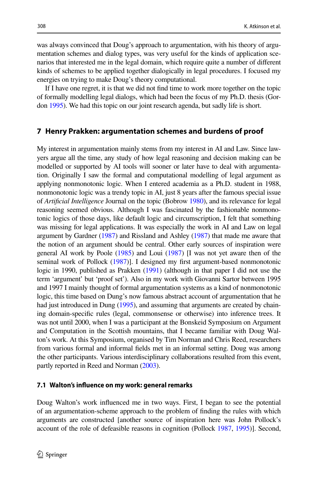was always convinced that Doug's approach to argumentation, with his theory of argumentation schemes and dialog types, was very useful for the kinds of application scenarios that interested me in the legal domain, which require quite a number of diferent kinds of schemes to be applied together dialogically in legal procedures. I focused my energies on trying to make Doug's theory computational.

If I have one regret, it is that we did not fnd time to work more together on the topic of formally modelling legal dialogs, which had been the focus of my Ph.D. thesis (Gor‑ don [1995](#page-40-24)). We had this topic on our joint research agenda, but sadly life is short.

## **7 Henry Prakken: argumentation schemes and burdens of proof**

My interest in argumentation mainly stems from my interest in AI and Law. Since law– yers argue all the time, any study of how legal reasoning and decision making can be modelled or supported by AI tools will sooner or later have to deal with argumentation. Originally I saw the formal and computational modelling of legal argument as applying nonmonotonic logic. When I entered academia as a Ph.D. student in 1988, nonmonotonic logic was a trendy topic in AI, just 8 years after the famous special issue of *Artifcial Intelligence* Journal on the topic (Bobrow [1980](#page-40-25)), and its relevance for legal reasoning seemed obvious. Although I was fascinated by the fashionable nonmonotonic logics of those days, like default logic and circumscription, I felt that something was missing for legal applications. It was especially the work in AI and Law on legal argument by Gardner [\(1987](#page-40-26)) and Rissland and Ashley ([1987](#page-43-13)) that made me aware that the notion of an argument should be central. Other early sources of inspiration were general AI work by Poole [\(1985\)](#page-42-16) and Loui ([1987](#page-41-22)) [I was not yet aware then of the seminal work of Pollock ([1987](#page-42-6))]. I designed my frst argument-based nonmonotonic logic in 1990, published as Prakken [\(1991](#page-42-17)) (although in that paper I did not use the term 'argument' but 'proof set'). Also in my work with Giovanni Sartor between 1995 and 1997 I mainly thought of formal argumentation systems as a kind of nonmonotonic logic, this time based on Dung's now famous abstract account of argumentation that he had just introduced in Dung [\(1995](#page-40-2)), and assuming that arguments are created by chain– ing domain-specifc rules (legal, commonsense or otherwise) into inference trees. It was not until 2000, when I was a participant at the Bonskeid Symposium on Argument and Computation in the Scottish mountains, that I became familiar with Doug Wal– ton's work. At this Symposium, organised by Tim Norman and Chris Reed, researchers from various formal and informal felds met in an informal setting. Doug was among the other participants. Various interdisciplinary collaborations resulted from this event, partly reported in Reed and Norman ([2003](#page-42-18)).

### **7.1 Walton's infuence on my work: general remarks**

Doug Walton's work infuenced me in two ways. First, I began to see the potential of an argumentation-scheme approach to the problem of fnding the rules with which arguments are constructed [another source of inspiration here was John Pollock's account of the role of defeasible reasons in cognition (Pollock [1987](#page-42-6), [1995](#page-42-19))]. Second,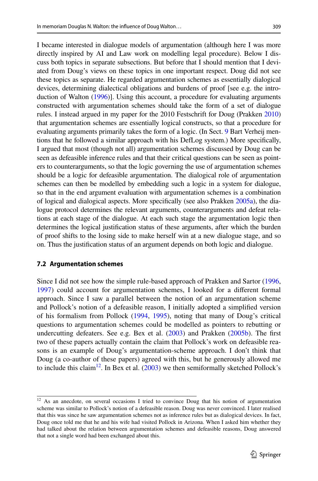I became interested in dialogue models of argumentation (although here I was more directly inspired by AI and Law work on modelling legal procedure). Below I dis‑ cuss both topics in separate subsections. But before that I should mention that I deviated from Doug's views on these topics in one important respect. Doug did not see these topics as separate. He regarded argumentation schemes as essentially dialogical devices, determining dialectical obligations and burdens of proof [see e.g. the introduction of Walton [\(1996\)](#page-44-6)]. Using this account, a procedure for evaluating arguments constructed with argumentation schemes should take the form of a set of dialogue rules. I instead argued in my paper for the 2010 Festschrift for Doug (Prakken [2010](#page-42-4)) that argumentation schemes are essentially logical constructs, so that a procedure for evaluating arguments primarily takes the form of a logic. (In Sect. [9](#page-34-0) Bart Verheij mentions that he followed a similar approach with his DefLog system.) More specifcally, I argued that most (though not all) argumentation schemes discussed by Doug can be seen as defeasible inference rules and that their critical questions can be seen as point– ers to counterarguments, so that the logic governing the use of argumentation schemes should be a logic for defeasible argumentation. The dialogical role of argumentation schemes can then be modelled by embedding such a logic in a system for dialogue, so that in the end argument evaluation with argumentation schemes is a combination of logical and dialogical aspects. More specifically (see also Prakken [2005a\)](#page-42-20), the dialogue protocol determines the relevant arguments, counterarguments and defeat relations at each stage of the dialogue. At each such stage the argumentation logic then determines the logical justifcation status of these arguments, after which the burden of proof shifts to the losing side to make herself win at a new dialogue stage, and so on. Thus the justifcation status of an argument depends on both logic and dialogue.

### **7.2 Argumentation schemes**

Since I did not see how the simple rule-based approach of Prakken and Sartor ([1996,](#page-42-21) [1997](#page-42-7)) could account for argumentation schemes, I looked for a diferent formal approach. Since I saw a parallel between the notion of an argumentation scheme and Pollock's notion of a defeasible reason, I initially adopted a simplifed version of his formalism from Pollock ([1994,](#page-42-22) [1995](#page-42-19)), noting that many of Doug's critical questions to argumentation schemes could be modelled as pointers to rebutting or undercutting defeaters. See e.g. Bex et al. ([2003\)](#page-40-9) and Prakken [\(2005b](#page-42-13)). The frst two of these papers actually contain the claim that Pollock's work on defeasible rea– sons is an example of Doug's argumentation-scheme approach. I don't think that Doug (a co-author of these papers) agreed with this, but he generously allowed me to include this claim<sup>12</sup>. In Bex et al.  $(2003)$  $(2003)$  we then semiformally sketched Pollock's

<span id="page-28-0"></span><sup>&</sup>lt;sup>12</sup> As an anecdote, on several occasions I tried to convince Doug that his notion of argumentation scheme was similar to Pollock's notion of a defeasible reason. Doug was never convinced. I later realised that this was since he saw argumentation schemes not as inference rules but as dialogical devices. In fact, Doug once told me that he and his wife had visited Pollock in Arizona. When I asked him whether they had talked about the relation between argumentation schemes and defeasible reasons, Doug answered that not a single word had been exchanged about this.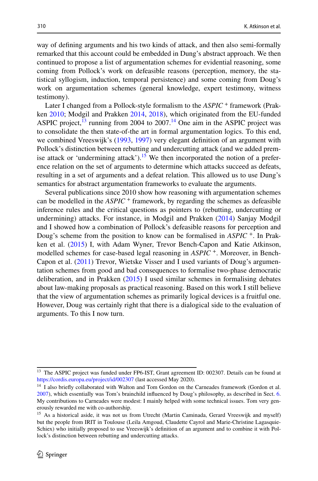way of defning arguments and his two kinds of attack, and then also semi-formally remarked that this account could be embedded in Dung's abstract approach. We then continued to propose a list of argumentation schemes for evidential reasoning, some coming from Pollock's work on defeasible reasons (perception, memory, the statistical syllogism, induction, temporal persistence) and some coming from Doug's work on argumentation schemes (general knowledge, expert testimony, witness testimony).

Later I changed from a Pollock-style formalism to the *ASPIC* + framework (Prakken [2010](#page-42-14); Modgil and Prakken [2014](#page-42-23), [2018\)](#page-42-24), which originated from the EU-funded ASPIC project, $^{13}$  running from 2004 to 2007.<sup>14</sup> One aim in the ASPIC project was to consolidate the then state-of-the art in formal argumentation logics. To this end, we combined Vreeswijk's [\(1993](#page-43-14), [1997\)](#page-43-15) very elegant defnition of an argument with Pollock's distinction between rebutting and undercutting attack (and we added premise attack or 'undermining attack').<sup>15</sup> We then incorporated the notion of a preference relation on the set of arguments to determine which attacks succeed as defeats, resulting in a set of arguments and a defeat relation. This allowed us to use Dung's semantics for abstract argumentation frameworks to evaluate the arguments.

Several publications since 2010 show how reasoning with argumentation schemes can be modelled in the *ASPIC* <sup>+</sup> framework, by regarding the schemes as defeasible inference rules and the critical questions as pointers to (rebutting, undercutting or undermining) attacks. For instance, in Modgil and Prakken [\(2014](#page-42-23)) Sanjay Modgil and I showed how a combination of Pollock's defeasible reasons for perception and Doug's scheme from the position to know can be formalised in *ASPIC* <sup>+</sup>. In Prak‑ ken et al. [\(2015](#page-42-5)) I, with Adam Wyner, Trevor Bench-Capon and Katie Atkinson, modelled schemes for case-based legal reasoning in *ASPIC* <sup>+</sup>. Moreover, in Bench-Capon et al. [\(2011](#page-39-26)) Trevor, Wietske Visser and I used variants of Doug's argumen– tation schemes from good and bad consequences to formalise two-phase democratic deliberation, and in Prakken ([2015\)](#page-42-25) I used similar schemes in formalising debates about law-making proposals as practical reasoning. Based on this work I still believe that the view of argumentation schemes as primarily logical devices is a fruitful one. However, Doug was certainly right that there is a dialogical side to the evaluation of arguments. To this I now turn.

<span id="page-29-0"></span><sup>&</sup>lt;sup>13</sup> The ASPIC project was funded under FP6-IST, Grant agreement ID: 002307. Details can be found at <https://cordis.europa.eu/project/id/002307> (last accessed May 2020).

<span id="page-29-1"></span><sup>&</sup>lt;sup>14</sup> I also briefly collaborated with Walton and Tom Gordon on the Carneades framework (Gordon et al. [2007](#page-41-16)), which essentially was Tom's brainchild infuenced by Doug's philosophy, as described in Sect. [6](#page-22-2). My contributions to Carneades were modest: I mainly helped with some technical issues. Tom very generously rewarded me with co-authorship.

<span id="page-29-2"></span><sup>&</sup>lt;sup>15</sup> As a historical aside, it was not us from Utrecht (Martin Caminada, Gerard Vreeswijk and myself) but the people from IRIT in Toulouse (Leila Amgoud, Claudette Cayrol and Marie-Christine Lagasquie-Schiex) who initially proposed to use Vreeswijk's definition of an argument and to combine it with Pollock's distinction between rebutting and undercutting attacks.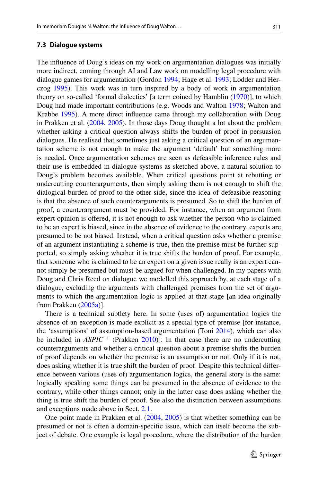#### **7.3 Dialogue systems**

The infuence of Doug's ideas on my work on argumentation dialogues was initially more indirect, coming through AI and Law work on modelling legal procedure with dialogue games for argumentation (Gordon [1994](#page-40-4); Hage et al. [1993;](#page-41-23) Lodder and Herczog [1995\)](#page-41-24). This work was in turn inspired by a body of work in argumentation theory on so-called 'formal dialectics' [a term coined by Hamblin ([1970\)](#page-41-6)], to which Doug had made important contributions (e.g. Woods and Walton [1978](#page-44-25); Walton and Krabbe [1995\)](#page-44-5). A more direct infuence came through my collaboration with Doug in Prakken et al. ([2004,](#page-42-26) [2005](#page-42-9)). In those days Doug thought a lot about the problem whether asking a critical question always shifts the burden of proof in persuasion dialogues. He realised that sometimes just asking a critical question of an argumen– tation scheme is not enough to make the argument 'default' but something more is needed. Once argumentation schemes are seen as defeasible inference rules and their use is embedded in dialogue systems as sketched above, a natural solution to Doug's problem becomes available. When critical questions point at rebutting or undercutting counterarguments, then simply asking them is not enough to shift the dialogical burden of proof to the other side, since the idea of defeasible reasoning is that the absence of such counterarguments is presumed. So to shift the burden of proof, a counterargument must be provided. For instance, when an argument from expert opinion is ofered, it is not enough to ask whether the person who is claimed to be an expert is biased, since in the absence of evidence to the contrary, experts are presumed to be not biased. Instead, when a critical question asks whether a premise of an argument instantiating a scheme is true, then the premise must be further supported, so simply asking whether it is true shifts the burden of proof. For example, that someone who is claimed to be an expert on a given issue really is an expert cannot simply be presumed but must be argued for when challenged. In my papers with Doug and Chris Reed on dialogue we modelled this approach by, at each stage of a dialogue, excluding the arguments with challenged premises from the set of arguments to which the argumentation logic is applied at that stage [an idea originally from Prakken [\(2005a\)](#page-42-20)].

There is a technical subtlety here. In some (uses of) argumentation logics the absence of an exception is made explicit as a special type of premise [for instance, the 'assumptions' of assumption-based argumentation (Toni [2014](#page-43-16)), which can also be included in *ASPIC* <sup>+</sup> (Prakken [2010\)](#page-42-14)]. In that case there are no undercutting counterarguments and whether a critical question about a premise shifts the burden of proof depends on whether the premise is an assumption or not. Only if it is not, does asking whether it is true shift the burden of proof. Despite this technical difference between various (uses of) argumentation logics, the general story is the same: logically speaking some things can be presumed in the absence of evidence to the contrary, while other things cannot; only in the latter case does asking whether the thing is true shift the burden of proof. See also the distinction between assumptions and exceptions made above in Sect. [2.1.](#page-2-0)

One point made in Prakken et al. ([2004,](#page-42-26) [2005](#page-42-9)) is that whether something can be presumed or not is often a domain-specifc issue, which can itself become the sub‑ ject of debate. One example is legal procedure, where the distribution of the burden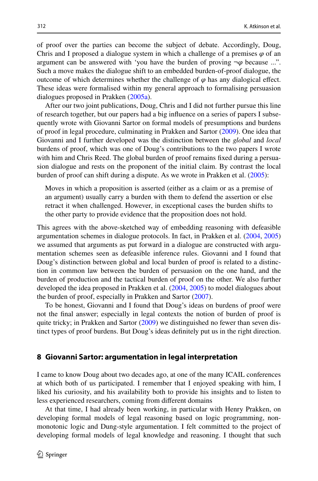of proof over the parties can become the subject of debate. Accordingly, Doug, Chris and I proposed a dialogue system in which a challenge of a premises  $\varphi$  of an argument can be answered with 'you have the burden of proving  $\neg \varphi$  because ...". Such a move makes the dialogue shift to an embedded burden-of-proof dialogue, the outcome of which determines whether the challenge of  $\varphi$  has any dialogical effect. These ideas were formalised within my general approach to formalising persuasion dialogues proposed in Prakken ([2005a](#page-42-20)).

After our two joint publications, Doug, Chris and I did not further pursue this line of research together, but our papers had a big infuence on a series of papers I subse‑ quently wrote with Giovanni Sartor on formal models of presumptions and burdens of proof in legal procedure, culminating in Prakken and Sartor [\(2009](#page-42-10)). One idea that Giovanni and I further developed was the distinction between the *global* and *local* burdens of proof, which was one of Doug's contributions to the two papers I wrote with him and Chris Reed. The global burden of proof remains fixed during a persuasion dialogue and rests on the proponent of the initial claim. By contrast the local burden of proof can shift during a dispute. As we wrote in Prakken et al. ([2005\)](#page-42-9):

Moves in which a proposition is asserted (either as a claim or as a premise of an argument) usually carry a burden with them to defend the assertion or else retract it when challenged. However, in exceptional cases the burden shifts to the other party to provide evidence that the proposition does not hold.

This agrees with the above-sketched way of embedding reasoning with defeasible argumentation schemes in dialogue protocols. In fact, in Prakken et al. ([2004,](#page-42-26) [2005](#page-42-9)) we assumed that arguments as put forward in a dialogue are constructed with argumentation schemes seen as defeasible inference rules. Giovanni and I found that Doug's distinction between global and local burden of proof is related to a distinc– tion in common law between the burden of persuasion on the one hand, and the burden of production and the tactical burden of proof on the other. We also further developed the idea proposed in Prakken et al. [\(2004](#page-42-26), [2005](#page-42-9)) to model dialogues about the burden of proof, especially in Prakken and Sartor ([2007\)](#page-42-27).

To be honest, Giovanni and I found that Doug's ideas on burdens of proof were not the fnal answer; especially in legal contexts the notion of burden of proof is quite tricky; in Prakken and Sartor  $(2009)$  $(2009)$  we distinguished no fewer than seven distinct types of proof burdens. But Doug's ideas defnitely put us in the right direction.

### **8 Giovanni Sartor: argumentation in legal interpretation**

I came to know Doug about two decades ago, at one of the many ICAIL conferences at which both of us participated. I remember that I enjoyed speaking with him, I liked his curiosity, and his availability both to provide his insights and to listen to less experienced researchers, coming from diferent domains

At that time, I had already been working, in particular with Henry Prakken, on developing formal models of legal reasoning based on logic programming, nonmonotonic logic and Dung-style argumentation. I felt committed to the project of developing formal models of legal knowledge and reasoning. I thought that such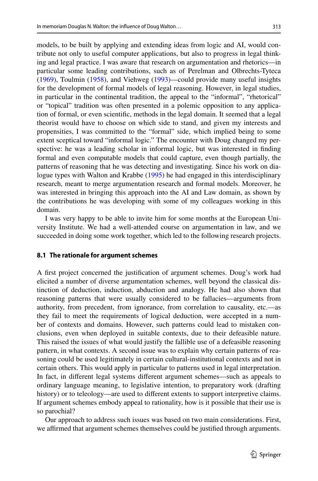models, to be built by applying and extending ideas from logic and AI, would contribute not only to useful computer applications, but also to progress in legal think‑ ing and legal practice. I was aware that research on argumentation and rhetorics—in particular some leading contributions, such as of Perelman and Olbrechts-Tyteca [\(1969](#page-42-2)), Toulmin ([1958\)](#page-43-4), and Viehweg ([1993\)](#page-43-17)—could provide many useful insights for the development of formal models of legal reasoning. However, in legal studies, in particular in the continental tradition, the appeal to the "informal", "rhetorical" or "topical" tradition was often presented in a polemic opposition to any application of formal, or even scientifc, methods in the legal domain. It seemed that a legal theorist would have to choose on which side to stand, and given my interests and propensities, I was committed to the "formal" side, which implied being to some extent sceptical toward "informal logic." The encounter with Doug changed my perspective: he was a leading scholar in informal logic, but was interested in fnding formal and even computable models that could capture, even though partially, the patterns of reasoning that he was detecting and investigating. Since his work on dialogue types with Walton and Krabbe [\(1995](#page-44-5)) he had engaged in this interdisciplinary research, meant to merge argumentation research and formal models. Moreover, he was interested in bringing this approach into the AI and Law domain, as shown by the contributions he was developing with some of my colleagues working in this domain.

I was very happy to be able to invite him for some months at the European Uni‑ versity Institute. We had a well-attended course on argumentation in law, and we succeeded in doing some work together, which led to the following research projects.

### **8.1 The rationale for argument schemes**

A frst project concerned the justifcation of argument schemes. Doug's work had elicited a number of diverse argumentation schemes, well beyond the classical dis‑ tinction of deduction, induction, abduction and analogy. He had also shown that reasoning patterns that were usually considered to be fallacies—arguments from authority, from precedent, from ignorance, from correlation to causality, etc.—as they fail to meet the requirements of logical deduction, were accepted in a number of contexts and domains. However, such patterns could lead to mistaken conclusions, even when deployed in suitable contexts, due to their defeasible nature. This raised the issues of what would justify the fallible use of a defeasible reasoning pattern, in what contexts. A second issue was to explain why certain patterns of rea– soning could be used legitimately in certain cultural-institutional contexts and not in certain others. This would apply in particular to patterns used in legal interpretation. In fact, in diferent legal systems diferent argument schemes—such as appeals to ordinary language meaning, to legislative intention, to preparatory work (drafting history) or to teleology—are used to different extents to support interpretive claims. If argument schemes embody appeal to rationality, how is it possible that their use is so parochial?

Our approach to address such issues was based on two main considerations. First, we affirmed that argument schemes themselves could be justified through arguments.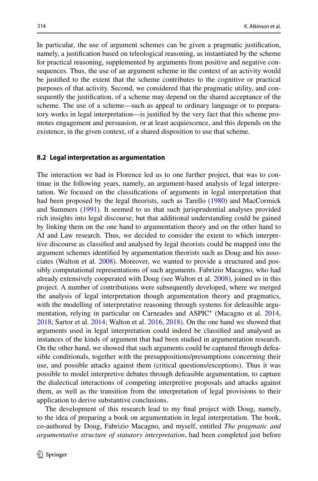In particular, the use of argument schemes can be given a pragmatic justifcation, namely, a justifcation based on teleological reasoning, as instantiated by the scheme for practical reasoning, supplemented by arguments from positive and negative consequences. Thus, the use of an argument scheme in the context of an activity would be justifed to the extent that the scheme contributes to the cognitive or practical purposes of that activity. Second, we considered that the pragmatic utility, and consequently the justifcation, of a scheme may depend on the shared acceptance of the scheme. The use of a scheme—such as appeal to ordinary language or to prepara– tory works in legal interpretation—is justified by the very fact that this scheme promotes engagement and persuasion, or at least acquiescence, and this depends on the existence, in the given context, of a shared disposition to use that scheme.

### **8.2 Legal interpretation as argumentation**

The interaction we had in Florence led us to one further project, that was to continue in the following years, namely, an argument-based analysis of legal interpretation. We focused on the classifcations of arguments in legal interpretation that had been proposed by the legal theorists, such as Tarello [\(1980](#page-43-18)) and MacCormick and Summers [\(1991](#page-41-25)). It seemed to us that such jurisprudential analyses provided rich insights into legal discourse, but that additional understanding could be gained by linking them on the one hand to argumentation theory and on the other hand to AI and Law research. Thus, we decided to consider the extent to which interpre‑ tive discourse as classifed and analysed by legal theorists could be mapped into the argument schemes identified by argumentation theorists such as Doug and his associates (Walton et al. [2008](#page-44-7)). Moreover, we wanted to provide a structured and pos‑ sibly computational representations of such arguments. Fabrizio Macagno, who had already extensively cooperated with Doug (see Walton et al. [2008](#page-44-7)), joined us in this project. A number of contributions were subsequently developed, where we merged the analysis of legal interpretation though argumentation theory and pragmatics, with the modelling of interpretative reasoning through systems for defeasible argu-mentation, relying in particular on Carneades and ASPIC<sup>+</sup> (Macagno et al. [2014,](#page-41-26) [2018](#page-41-27); Sartor et al. [2014;](#page-43-19) Walton et al. [2016](#page-44-26), [2018](#page-44-27)). On the one hand we showed that arguments used in legal interpretation could indeed be classifed and analysed as instances of the kinds of argument that had been studied in argumentation research. On the other hand, we showed that such arguments could be captured through defea– sible conditionals, together with the presuppositions/presumptions concerning their use, and possible attacks against them (critical questions/exceptions). Thus it was possible to model interpretive debates through defeasible argumentation, to capture the dialectical interactions of competing interpretive proposals and attacks against them, as well as the transition from the interpretation of legal provisions to their application to derive substantive conclusions.

The development of this research lead to my fnal project with Doug, namely, to the idea of preparing a book on argumentation in legal interpretation. The book, co-authored by Doug, Fabrizio Macagno, and myself, entitled *The pragmatic and argumentative structure of statutory interpretation*, had been completed just before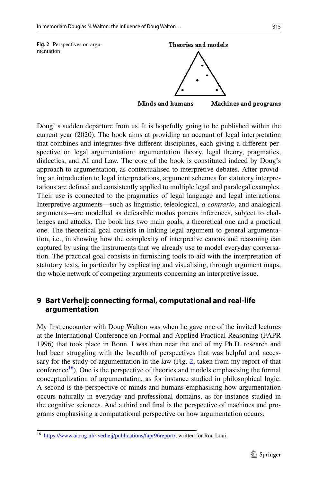<span id="page-34-1"></span>

Doug' s sudden departure from us. It is hopefully going to be published within the current year (2020). The book aims at providing an account of legal interpretation that combines and integrates fve diferent disciplines, each giving a diferent per‑ spective on legal argumentation: argumentation theory, legal theory, pragmatics, dialectics, and AI and Law. The core of the book is constituted indeed by Doug's approach to argumentation, as contextualised to interpretive debates. After providing an introduction to legal interpretations, argument schemes for statutory interpretations are defned and consistently applied to multiple legal and paralegal examples. Their use is connected to the pragmatics of legal language and legal interactions. Interpretive arguments—such as linguistic, teleological, *a contrario*, and analogical arguments—are modelled as defeasible modus ponens inferences, subject to challenges and attacks. The book has two main goals, a theoretical one and a practical one. The theoretical goal consists in linking legal argument to general argumenta– tion, i.e., in showing how the complexity of interpretive canons and reasoning can captured by using the instruments that we already use to model everyday conversation. The practical goal consists in furnishing tools to aid with the interpretation of statutory texts, in particular by explicating and visualising, through argument maps, the whole network of competing arguments concerning an interpretive issue.

# <span id="page-34-0"></span>**9 Bart Verheij: connecting formal, computational and real‑life argumentation**

My frst encounter with Doug Walton was when he gave one of the invited lectures at the International Conference on Formal and Applied Practical Reasoning (FAPR 1996) that took place in Bonn. I was then near the end of my Ph.D. research and had been struggling with the breadth of perspectives that was helpful and necessary for the study of argumentation in the law (Fig. [2](#page-34-1), taken from my report of that conference<sup>16</sup>). One is the perspective of theories and models emphasising the formal conceptualization of argumentation, as for instance studied in philosophical logic. A second is the perspective of minds and humans emphasising how argumentation occurs naturally in everyday and professional domains, as for instance studied in the cognitive sciences. And a third and final is the perspective of machines and programs emphasising a computational perspective on how argumentation occurs.

<span id="page-34-2"></span><sup>16</sup> [https://www.ai.rug.nl/~verheij/publications/fapr96report/,](https://www.ai.rug.nl/%7everheij/publications/fapr96report/) written for Ron Loui.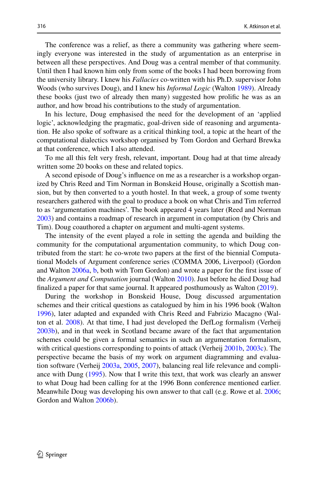The conference was a relief, as there a community was gathering where seem– ingly everyone was interested in the study of argumentation as an enterprise in between all these perspectives. And Doug was a central member of that community. Until then I had known him only from some of the books I had been borrowing from the university library. I knew his *Fallacies* co-written with his Ph.D. supervisor John Woods (who survives Doug), and I knew his *Informal Logic* (Walton [1989\)](#page-44-11). Already these books (just two of already then many) suggested how prolifc he was as an author, and how broad his contributions to the study of argumentation.

In his lecture, Doug emphasised the need for the development of an 'applied logic', acknowledging the pragmatic, goal-driven side of reasoning and argumentation. He also spoke of software as a critical thinking tool, a topic at the heart of the computational dialectics workshop organised by Tom Gordon and Gerhard Brewka at that conference, which I also attended.

To me all this felt very fresh, relevant, important. Doug had at that time already written some 20 books on these and related topics.

A second episode of Doug's infuence on me as a researcher is a workshop organ‑ ized by Chris Reed and Tim Norman in Bonskeid House, originally a Scottish mansion, but by then converted to a youth hostel. In that week, a group of some twenty researchers gathered with the goal to produce a book on what Chris and Tim referred to as 'argumentation machines'. The book appeared 4 years later (Reed and Norman [2003](#page-42-18)) and contains a roadmap of research in argument in computation (by Chris and Tim). Doug coauthored a chapter on argument and multi-agent systems.

The intensity of the event played a role in setting the agenda and building the community for the computational argumentation community, to which Doug contributed from the start: he co-wrote two papers at the frst of the biennial Computa‑ tional Models of Argument conference series (COMMA 2006, Liverpool) (Gordon and Walton [2006a,](#page-40-20) [b,](#page-40-19) both with Tom Gordon) and wrote a paper for the frst issue of the *Argument and Computation* journal (Walton [2010\)](#page-44-28). Just before he died Doug had fnalized a paper for that same journal. It appeared posthumously as Walton ([2019\)](#page-44-29).

During the workshop in Bonskeid House, Doug discussed argumentation schemes and their critical questions as catalogued by him in his 1996 book (Walton [1996](#page-44-6)), later adapted and expanded with Chris Reed and Fabrizio Macagno (Wal‑ ton et al. [2008\)](#page-44-7). At that time, I had just developed the DefLog formalism (Verheij [2003b](#page-43-20)), and in that week in Scotland became aware of the fact that argumentation schemes could be given a formal semantics in such an argumentation formalism, with critical questions corresponding to points of attack (Verheij [2001b](#page-43-21), [2003c\)](#page-43-12). The perspective became the basis of my work on argument diagramming and evalua‑ tion software (Verheij [2003a,](#page-43-22) [2005,](#page-43-23) [2007](#page-43-24)), balancing real life relevance and compliance with Dung ([1995\)](#page-40-2). Now that I write this text, that work was clearly an answer to what Doug had been calling for at the 1996 Bonn conference mentioned earlier. Meanwhile Doug was developing his own answer to that call (e.g. Rowe et al. [2006;](#page-43-25) Gordon and Walton [2006b](#page-40-19)).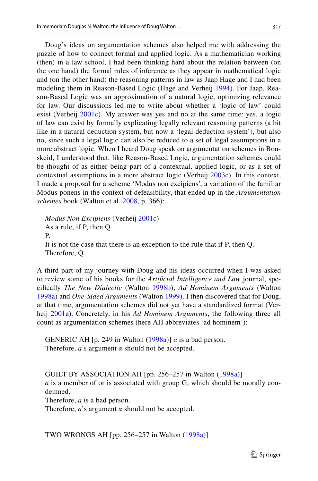Doug's ideas on argumentation schemes also helped me with addressing the puzzle of how to connect formal and applied logic. As a mathematician working (then) in a law school, I had been thinking hard about the relation between (on the one hand) the formal rules of inference as they appear in mathematical logic and (on the other hand) the reasoning patterns in law as Jaap Hage and I had been modeling them in Reason-Based Logic (Hage and Verheij [1994](#page-41-28)). For Jaap, Reason-Based Logic was an approximation of a natural logic, optimizing relevance for law. Our discussions led me to write about whether a 'logic of law' could exist (Verheij [2001c\)](#page-43-26). My answer was yes and no at the same time: yes, a logic of law can exist by formally explicating legally relevant reasoning patterns (a bit like in a natural deduction system, but now a 'legal deduction system'), but also no, since such a legal logic can also be reduced to a set of legal assumptions in a more abstract logic. When I heard Doug speak on argumentation schemes in Bonskeid, I understood that, like Reason-Based Logic, argumentation schemes could be thought of as either being part of a contextual, applied logic, or as a set of contextual assumptions in a more abstract logic (Verheij [2003c](#page-43-12)). In this context, I made a proposal for a scheme 'Modus non excipiens', a variation of the familiar Modus ponens in the context of defeasibility, that ended up in the *Argumentation schemes* book (Walton et al. [2008](#page-44-7), p. 366):

*Modus Non Excipiens* (Verheij [2001c](#page-43-26)) As a rule, if P, then Q. P. It is not the case that there is an exception to the rule that if P, then Q. Therefore, Q.

A third part of my journey with Doug and his ideas occurred when I was asked to review some of his books for the *Artificial Intelligence and Law* journal, specifcally *The New Dialectic* (Walton [1998b](#page-44-8)), *Ad Hominem Arguments* (Walton [1998a](#page-44-30)) and *One-Sided Arguments* (Walton [1999\)](#page-44-31). I then discovered that for Doug, at that time, argumentation schemes did not yet have a standardized format (Ver‑ heij [2001a](#page-43-27)). Concretely, in his *Ad Hominem Arguments*, the following three all count as argumentation schemes (here AH abbreviates 'ad hominem'):

GENERIC AH [p. 249 in Walton ([1998a](#page-44-30))] *a* is a bad person. Therefore,  $a$ 's argument  $\alpha$  should not be accepted.

GUILT BY ASSOCIATION AH [pp. 256–257 in Walton ([1998a](#page-44-30))]

*a* is a member of or is associated with group G, which should be morally condemned.

Therefore, *a* is a bad person.

Therefore,  $a$ 's argument  $\alpha$  should not be accepted.

TWO WRONGS AH [pp. 256–257 in Walton ([1998a](#page-44-30))]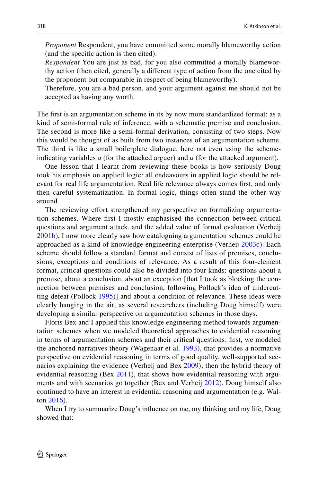*Proponent* Respondent, you have committed some morally blameworthy action (and the specifc action is then cited).

*Respondent* You are just as bad, for you also committed a morally blamewor– thy action (then cited, generally a diferent type of action from the one cited by the proponent but comparable in respect of being blameworthy).

Therefore, you are a bad person, and your argument against me should not be accepted as having any worth.

The frst is an argumentation scheme in its by now more standardized format: as a kind of semi-formal rule of inference, with a schematic premise and conclusion. The second is more like a semi-formal derivation, consisting of two steps. Now this would be thought of as built from two instances of an argumentation scheme. The third is like a small boilerplate dialogue, here not even using the schemeindicating variables  $a$  (for the attacked arguer) and  $\alpha$  (for the attacked argument).

One lesson that I learnt from reviewing these books is how seriously Doug took his emphasis on applied logic: all endeavours in applied logic should be relevant for real life argumentation. Real life relevance always comes frst, and only then careful systematization. In formal logic, things often stand the other way around.

The reviewing effort strengthened my perspective on formalizing argumenta– tion schemes. Where frst I mostly emphasised the connection between critical questions and argument attack, and the added value of formal evaluation (Verheij [2001b\)](#page-43-21), I now more clearly saw how cataloguing argumentation schemes could be approached as a kind of knowledge engineering enterprise (Verheij [2003c\)](#page-43-12). Each scheme should follow a standard format and consist of lists of premises, conclusions, exceptions and conditions of relevance. As a result of this four-element format, critical questions could also be divided into four kinds: questions about a premise, about a conclusion, about an exception [that I took as blocking the connection between premises and conclusion, following Pollock's idea of undercutting defeat (Pollock [1995](#page-42-19))] and about a condition of relevance. These ideas were clearly hanging in the air, as several researchers (including Doug himself) were developing a similar perspective on argumentation schemes in those days.

Floris Bex and I applied this knowledge engineering method towards argumen– tation schemes when we modeled theoretical approaches to evidential reasoning in terms of argumentation schemes and their critical questions: frst, we modeled the anchored narratives theory (Wagenaar et al. [1993\)](#page-43-28), that provides a normative perspective on evidential reasoning in terms of good quality, well-supported scenarios explaining the evidence (Verheij and Bex [2009\)](#page-43-29); then the hybrid theory of evidential reasoning (Bex [2011](#page-39-24)), that shows how evidential reasoning with arguments and with scenarios go together (Bex and Verheij [2012](#page-40-12)). Doug himself also continued to have an interest in evidential reasoning and argumentation (e.g. Wal– ton [2016](#page-44-32)).

When I try to summarize Doug's infuence on me, my thinking and my life, Doug showed that: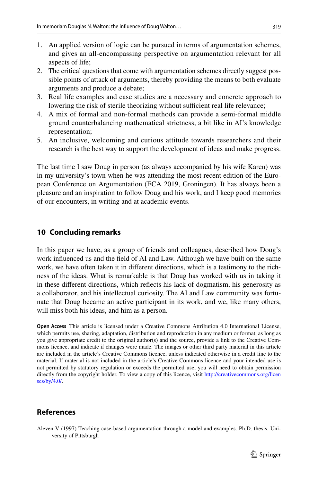- 1. An applied version of logic can be pursued in terms of argumentation schemes, and gives an all-encompassing perspective on argumentation relevant for all aspects of life;
- 2. The critical questions that come with argumentation schemes directly suggest pos‑ sible points of attack of arguments, thereby providing the means to both evaluate arguments and produce a debate;
- 3. Real life examples and case studies are a necessary and concrete approach to lowering the risk of sterile theorizing without sufficient real life relevance;
- 4. A mix of formal and non-formal methods can provide a semi-formal middle ground counterbalancing mathematical strictness, a bit like in AI's knowledge representation;
- 5. An inclusive, welcoming and curious attitude towards researchers and their research is the best way to support the development of ideas and make progress.

The last time I saw Doug in person (as always accompanied by his wife Karen) was in my university's town when he was attending the most recent edition of the Euro– pean Conference on Argumentation (ECA 2019, Groningen). It has always been a pleasure and an inspiration to follow Doug and his work, and I keep good memories of our encounters, in writing and at academic events.

# **10 Concluding remarks**

In this paper we have, as a group of friends and colleagues, described how Doug's work infuenced us and the feld of AI and Law. Although we have built on the same work, we have often taken it in different directions, which is a testimony to the richness of the ideas. What is remarkable is that Doug has worked with us in taking it in these diferent directions, which refects his lack of dogmatism, his generosity as a collaborator, and his intellectual curiosity. The AI and Law community was fortunate that Doug became an active participant in its work, and we, like many others, will miss both his ideas, and him as a person.

**Open Access** This article is licensed under a Creative Commons Attribution 4.0 International License, which permits use, sharing, adaptation, distribution and reproduction in any medium or format, as long as you give appropriate credit to the original author(s) and the source, provide a link to the Creative Commons licence, and indicate if changes were made. The images or other third party material in this article are included in the article's Creative Commons licence, unless indicated otherwise in a credit line to the material. If material is not included in the article's Creative Commons licence and your intended use is not permitted by statutory regulation or exceeds the permitted use, you will need to obtain permission directly from the copyright holder. To view a copy of this licence, visit [http://creativecommons.org/licen](http://creativecommons.org/licenses/by/4.0/) [ses/by/4.0/](http://creativecommons.org/licenses/by/4.0/).

# **References**

<span id="page-38-0"></span>Aleven V (1997) Teaching case-based argumentation through a model and examples. Ph.D. thesis, University of Pittsburgh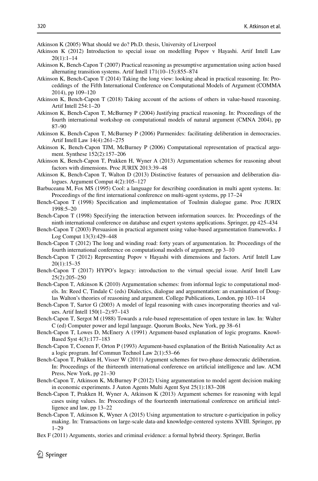<span id="page-39-3"></span>Atkinson K (2005) What should we do? Ph.D. thesis, University of Liverpool

- <span id="page-39-25"></span>Atkinson K (2012) Introduction to special issue on modelling Popov v Hayashi. Artif Intell Law 20(1):1–14
- <span id="page-39-7"></span>Atkinson K, Bench-Capon T (2007) Practical reasoning as presumptive argumentation using action based alternating transition systems. Artif Intell 171(10–15):855–874
- <span id="page-39-22"></span>Atkinson K, Bench-Capon T (2014) Taking the long view: looking ahead in practical reasoning. In: Pro‑ ceddings of the Fifth International Conference on Computational Models of Argument (COMMA 2014), pp 109–120
- <span id="page-39-23"></span>Atkinson K, Bench-Capon T (2018) Taking account of the actions of others in value-based reasoning. Artif Intell 254:1–20
- <span id="page-39-16"></span>Atkinson K, Bench-Capon T, McBurney P (2004) Justifying practical reasoning. In: Proceedings of the fourth international workshop on computational models of natural argument (CMNA 2004), pp 87–90
- <span id="page-39-10"></span>Atkinson K, Bench-Capon T, McBurney P (2006) Parmenides: facilitating deliberation in democracies. Artif Intell Law 14(4):261–275
- <span id="page-39-6"></span>Atkinson K, Bench-Capon TJM, McBurney P (2006) Computational representation of practical argument. Synthese 152(2):157–206
- <span id="page-39-21"></span>Atkinson K, Bench-Capon T, Prakken H, Wyner A (2013) Argumentation schemes for reasoning about factors with dimensions. Proc JURIX 2013:39–48
- <span id="page-39-2"></span>Atkinson K, Bench-Capon T, Walton D (2013) Distinctive features of persuasion and deliberation dia‑ logues. Argument Comput 4(2):105–127
- <span id="page-39-0"></span>Barbuceanu M, Fox MS (1995) Cool: a language for describing coordination in multi agent systems. In: Proceedings of the frst international conference on multi-agent systems, pp 17–24
- <span id="page-39-4"></span>Bench-Capon T (1998) Specifcation and implementation of Toulmin dialogue game. Proc JURIX 1998:5–20
- <span id="page-39-1"></span>Bench-Capon T (1998) Specifying the interaction between information sources. In: Proceedings of the ninth international conference on database and expert systems applications. Springer, pp 425–434
- <span id="page-39-5"></span>Bench-Capon T (2003) Persuasion in practical argument using value-based argumentation frameworks. J Log Comput 13(3):429–448
- <span id="page-39-11"></span>Bench-Capon T (2012) The long and winding road: forty years of argumentation. In: Proceedings of the fourth international conference on computational models of argument, pp 3–10
- <span id="page-39-19"></span>Bench-Capon T (2012) Representing Popov v Hayashi with dimensions and factors. Artif Intell Law 20(1):15–35
- <span id="page-39-18"></span>Bench-Capon T (2017) HYPO's legacy: introduction to the virtual special issue. Artif Intell Law 25(2):205–250
- <span id="page-39-9"></span>Bench-Capon T, Atkinson K (2010) Argumentation schemes: from informal logic to computational models. In: Reed C, Tindale C (eds) Dialectics, dialogue and argumentation: an examination of Douglas Walton's theories of reasoning and argument. College Publications, London, pp 103–114
- <span id="page-39-15"></span>Bench-Capon T, Sartor G (2003) A model of legal reasoning with cases incorporating theories and values. Artif Intell 150(1–2):97–143
- <span id="page-39-12"></span>Bench-Capon T, Sergot M (1988) Towards a rule-based representation of open texture in law. In: Walter C (ed) Computer power and legal language. Quorum Books, New York, pp 38–61
- <span id="page-39-13"></span>Bench-Capon T, Lowes D, McEnery A (1991) Argument-based explanation of logic programs. Knowl-Based Syst 4(3):177–183
- <span id="page-39-14"></span>Bench-Capon T, Coenen F, Orton P (1993) Argument-based explanation of the British Nationality Act as a logic program. Inf Commun Technol Law 2(1):53–66
- <span id="page-39-26"></span>Bench-Capon T, Prakken H, Visser W (2011) Argument schemes for two-phase democratic deliberation. In: Proceedings of the thirteenth international conference on artifcial intelligence and law. ACM Press, New York, pp 21–30
- <span id="page-39-8"></span>Bench-Capon T, Atkinson K, McBurney P (2012) Using argumentation to model agent decision making in economic experiments. J Auton Agents Multi Agent Syst 25(1):183–208
- <span id="page-39-20"></span>Bench-Capon T, Prakken H, Wyner A, Atkinson K (2013) Argument schemes for reasoning with legal cases using values. In: Proceedings of the fourteenth international conference on artificial intelligence and law, pp 13–22
- <span id="page-39-17"></span>Bench-Capon T, Atkinson K, Wyner A (2015) Using argumentation to structure e-participation in policy making. In: Transactions on large-scale data-and knowledge-centered systems XVIII. Springer, pp 1–29
- <span id="page-39-24"></span>Bex F (2011) Arguments, stories and criminal evidence: a formal hybrid theory. Springer, Berlin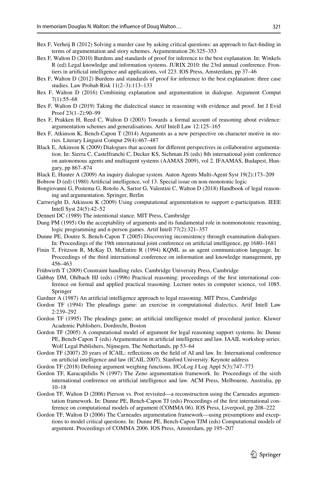- <span id="page-40-12"></span>Bex F, Verheij B (2012) Solving a murder case by asking critical questions: an approach to fact-fnding in terms of argumentation and story schemes. Argumentation 26:325–353
- <span id="page-40-13"></span>Bex F, Walton D (2010) Burdens and standards of proof for inference to the best explanation. In: Winkels R (ed) Legal knowledge and information systems. JURIX 2010: the 23rd annual conference. Frontiers in artifcial intelligence and applications, vol 223. IOS Press, Amsterdam, pp 37–46
- <span id="page-40-10"></span>Bex F, Walton D (2012) Burdens and standards of proof for inference to the best explanation: three case studies. Law Probab Risk 11(2–3):113–133
- <span id="page-40-14"></span>Bex F, Walton D (2016) Combining explanation and argumentation in dialogue. Argument Comput 7(1):55–68
- <span id="page-40-15"></span>Bex F, Walton D (2019) Taking the dialectical stance in reasoning with evidence and proof. Int J Evid Proof 23(1–2):90–99
- <span id="page-40-9"></span>Bex F, Prakken H, Reed C, Walton D (2003) Towards a formal account of reasoning about evidence: argumentation schemes and generalisations. Artif Intell Law 12:125–165
- <span id="page-40-11"></span>Bex F, Atkinson K, Bench-Capon T (2014) Arguments as a new perspective on character motive in stories. Literary Linguist Comput 29(4):467–487
- <span id="page-40-7"></span>Black E, Atkinson K (2009) Dialogues that account for different perspectives in collaborative argumentation. In: Sierra C, Castelfranchi C, Decker KS, Sichman JS (eds) 8th international joint conference on autonomous agents and multiagent systems (AAMAS 2009), vol 2. IFAAMAS, Budapest, Hungary, pp 867–874
- <span id="page-40-5"></span>Black E, Hunter A (2009) An inquiry dialogue system. Auton Agents Multi-Agent Syst 19(2):173–209
- <span id="page-40-25"></span>Bobrow D (ed) (1980) Artifcial intelligence, vol 13. Special issue on non-monotonic logic
- <span id="page-40-1"></span>Bongiovanni G, Postema G, Rotolo A, Sartor G, Valentini C, Walton D (2018) Handbook of legal reason‑ ing and argumentation. Springer, Berlin
- <span id="page-40-8"></span>Cartwright D, Atkinson K (2009) Using computational argumentation to support e-participation. IEEE Intell Syst 24(5):42–52
- <span id="page-40-16"></span>Dennett DC (1989) The intentional stance. MIT Press, Cambridge
- <span id="page-40-2"></span>Dung PM (1995) On the acceptability of arguments and its fundamental role in nonmonotonic reasoning, logic programming and n-person games. Artif Intell 77(2):321–357
- <span id="page-40-6"></span>Dunne PE, Doutre S, Bench-Capon T (2005) Discovering inconsistency through examination dialogues. In: Proceedings of the 19th international joint conference on artifcial intelligence, pp 1680–1681
- <span id="page-40-3"></span>Finin T, Fritzson R, McKay D, McEntire R (1994) KQML as an agent communication language. In: Proceedings of the third international conference on information and knowledge management, pp 456–463
- <span id="page-40-23"></span>Frühwirth T (2009) Constraint handling rules. Cambridge University Press, Cambridge
- <span id="page-40-0"></span>Gabbay DM, Ohlbach HJ (eds) (1996) Practical reasoning: proceedings of the first international conference on formal and applied practical reasoning. Lecture notes in computer science, vol 1085. Springer
- <span id="page-40-26"></span>Gardner A (1987) An artifcial intelligence approach to legal reasoning. MIT Press, Cambridge
- <span id="page-40-4"></span>Gordon TF (1994) The pleadings game: an exercise in computational dialectics. Artif Intell Law 2:239–292
- <span id="page-40-24"></span>Gordon TF (1995) The pleadings game; an artifcial intelligence model of procedural justice. Kluwer Academic Publishers, Dordrecht, Boston
- <span id="page-40-17"></span>Gordon TF (2005) A computational model of argument for legal reasoning support systems. In: Dunne PE, Bench-Capon T (eds) Argumentation in artifcial intelligence and law. IAAIL workshop series. Wolf Legal Publishers, Nijmegen, The Netherlands, pp 53–64
- <span id="page-40-21"></span>Gordon TF (2007) 20 years of ICAIL: refections on the feld of AI and law. In: International conference on artifcial intelligence and law (ICAIL 2007). Stanford University. Keynote address
- <span id="page-40-22"></span>Gordon TF (2018) Defning argument weighing functions. IfCoLog J Log Appl 5(3):747–773
- <span id="page-40-18"></span>Gordon TF, Karacapilidis N (1997) The Zeno argumentation framework. In: Proceedings of the sixth international conference on artifcial intelligence and law. ACM Press, Melbourne, Australia, pp 10–18
- <span id="page-40-20"></span>Gordon TF, Walton D (2006) Pierson vs. Post revisited—a reconstruction using the Carneades argumentation framework. In: Dunne PE, Bench-Capon TJ (eds) Proceedings of the first international conference on computational models of argument (COMMA 06). IOS Press, Liverpool, pp 208–222
- <span id="page-40-19"></span>Gordon TF, Walton D (2006) The Carneades argumentation framework—using presumptions and exceptions to model critical questions. In: Dunne PE, Bench-Capon TJM (eds) Computational models of argument. Proceedings of COMMA 2006. IOS Press, Amsterdam, pp 195–207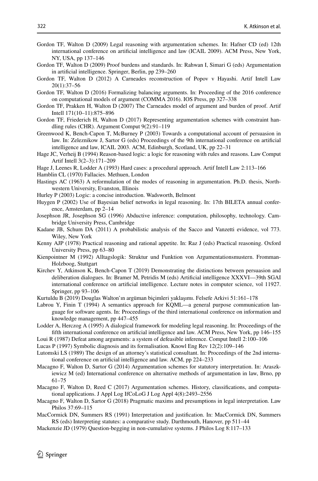- <span id="page-41-17"></span>Gordon TF, Walton D (2009) Legal reasoning with argumentation schemes. In: Hafner CD (ed) 12th international conference on artifcial intelligence and law (ICAIL 2009). ACM Press, New York, NY, USA, pp 137–146
- <span id="page-41-14"></span>Gordon TF, Walton D (2009) Proof burdens and standards. In: Rahwan I, Simari G (eds) Argumentation in artifcial intelligence. Springer, Berlin, pp 239–260
- <span id="page-41-18"></span>Gordon TF, Walton D (2012) A Carneades reconstruction of Popov v Hayashi. Artif Intell Law 20(1):37–56
- <span id="page-41-19"></span>Gordon TF, Walton D (2016) Formalizing balancing arguments. In: Proceeding of the 2016 conference on computational models of argument (COMMA 2016). IOS Press, pp 327–338
- <span id="page-41-16"></span>Gordon TF, Prakken H, Walton D (2007) The Carneades model of argument and burden of proof. Artif Intell 171(10–11):875–896
- <span id="page-41-20"></span>Gordon TF, Friederich H, Walton D (2017) Representing argumentation schemes with constraint handling rules (CHR). Argument Comput 9(2):91–119
- <span id="page-41-8"></span>Greenwood K, Bench-Capon T, McBurney P (2003) Towards a computational account of persuasion in law. In: Zeleznikow J, Sartor G (eds) Proceedings of the 9th international conference on artifcial intelligence and law, ICAIL 2003. ACM, Edinburgh, Scotland, UK, pp 22–31
- <span id="page-41-28"></span>Hage JC, Verheij B (1994) Reason-based logic: a logic for reasoning with rules and reasons. Law Comput Artif Intell 3(2–3):171–209
- <span id="page-41-23"></span>Hage J, Leenes R, Lodder A (1993) Hard cases: a procedural approach. Artif Intell Law 2:113–166
- <span id="page-41-6"></span>Hamblin CL (1970) Fallacies. Methuen, London
- <span id="page-41-4"></span>Hastings AC (1963) A reformulation of the modes of reasoning in argumentation. Ph.D. thesis, Northwestern University, Evanston, Illinois
- <span id="page-41-15"></span>Hurley P (2003) Logic: a concise introduction. Wadsworth, Belmont
- <span id="page-41-12"></span>Huygen P (2002) Use of Bayesian belief networks in legal reasoning. In: 17th BILETA annual conference, Amsterdam, pp 2–14
- <span id="page-41-11"></span>Josephson JR, Josephson SG (1996) Abductive inference: computation, philosophy, technology. Cambridge University Press, Cambridge
- <span id="page-41-13"></span>Kadane JB, Schum DA (2011) A probabilistic analysis of the Sacco and Vanzetti evidence, vol 773. Wiley, New York
- <span id="page-41-7"></span>Kenny AJP (1978) Practical reasoning and rational appetite. In: Raz J (eds) Practical reasoning. Oxford University Press, pp 63–80
- <span id="page-41-5"></span>Kienpointner M (1992) Alltagslogik: Struktur und Funktion von Argumentationsmustern. Fromman-Holzboog, Stuttgart
- <span id="page-41-9"></span>Kirchev Y, Atkinson K, Bench-Capon T (2019) Demonstrating the distinctions between persuasion and deliberation dialogues. In: Bramer M, Petridis M (eds) Artifcial intelligence XXXVI—39th SGAI international conference on artifcial intelligence. Lecture notes in computer science, vol 11927. Springer, pp 93–106
- <span id="page-41-21"></span>Kurtuldu B (2019) Douglas Walton'ın argüman biçimleri yaklaşımı. Felsefe Arkivi 51:161–178
- <span id="page-41-0"></span>Labrou Y, Finin T (1994) A semantics approach for KQML—a general purpose communication lan– guage for software agents. In: Proceedings of the third international conference on information and knowledge management, pp 447–455
- <span id="page-41-24"></span>Lodder A, Herczog A (1995) A dialogical framework for modeling legal reasoning. In: Proceedings of the ffth international conference on artifcial intelligence and law. ACM Press, New York, pp 146–155
- <span id="page-41-22"></span>Loui R (1987) Defeat among arguments: a system of defeasible inference. Comput Intell 2:100–106
- <span id="page-41-10"></span>Lucas P (1997) Symbolic diagnosis and its formalisation. Knowl Eng Rev 12(2):109–146
- <span id="page-41-3"></span>Lutomski LS (1989) The design of an attorney's statistical consultant. In: Proceedings of the 2nd interna‑ tional conference on artifcial intelligence and law. ACM, pp 224–233
- <span id="page-41-26"></span>Macagno F, Walton D, Sartor G (2014) Argumentation schemes for statutory interpretation. In: Araszkiewicz M (ed) International conference on alternative methods of argumentation in law, Brno, pp 61–75
- <span id="page-41-2"></span>Macagno F, Walton D, Reed C (2017) Argumentation schemes. History, classifications, and computational applications. J Appl Log IfCoLoG J Log Appl 4(8):2493–2556
- <span id="page-41-27"></span>Macagno F, Walton D, Sartor G (2018) Pragmatic maxims and presumptions in legal interpretation. Law Philos 37:69–115
- <span id="page-41-25"></span>MacCormick DN, Summers RS (1991) Interpretation and justifcation. In: MacCormick DN, Summers RS (eds) Interpreting statutes: a comparative study. Darthmouth, Hanover, pp 511–44
- <span id="page-41-1"></span>Mackenzie JD (1979) Question-begging in non-cumulative systems. J Philos Log 8:117–133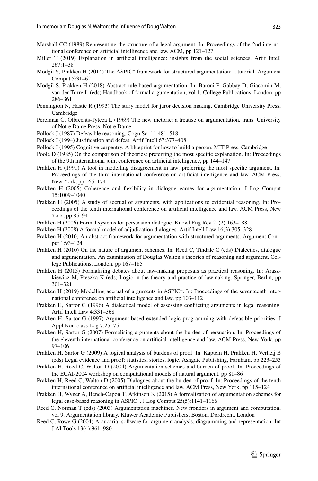- <span id="page-42-3"></span>Marshall CC (1989) Representing the structure of a legal argument. In: Proceedings of the 2nd international conference on artifcial intelligence and law. ACM, pp 121–127
- <span id="page-42-11"></span>Miller T (2019) Explanation in artifcial intelligence: insights from the social sciences. Artif Intell 267:1–38
- <span id="page-42-23"></span>Modgil S, Prakken H (2014) The ASPIC<sup>+</sup> framework for structured argumentation: a tutorial. Argument Comput 5:31–62
- <span id="page-42-24"></span>Modgil S, Prakken H (2018) Abstract rule-based argumentation. In: Baroni P, Gabbay D, Giacomin M, van der Torre L (eds) Handbook of formal argumentation, vol 1. College Publications, London, pp 286–361
- <span id="page-42-8"></span>Pennington N, Hastie R (1993) The story model for juror decision making. Cambridge University Press, Cambridge
- <span id="page-42-2"></span>Perelman C, Olbrechts-Tyteca L (1969) The new rhetoric: a treatise on argumentation, trans. University of Notre Dame Press, Notre Dame
- <span id="page-42-6"></span>Pollock J (1987) Defeasible reasoning. Cogn Sci 11:481–518
- <span id="page-42-22"></span>Pollock J (1994) Justifcation and defeat. Artif Intell 67:377–408
- <span id="page-42-19"></span>Pollock J (1995) Cognitive carpentry. A blueprint for how to build a person. MIT Press, Cambridge
- <span id="page-42-16"></span>Poole D (1985) On the comparison of theories: preferring the most specifc explanation. In: Proceedings of the 9th international joint conference on artifcial intelligence, pp 144–147
- <span id="page-42-17"></span>Prakken H (1991) A tool in modelling disagreement in law: preferring the most specifc argument. In: Proceedings of the third international conference on artifcial intelligence and law. ACM Press, New York, pp 165–174
- <span id="page-42-20"></span>Prakken H (2005) Coherence and fexibility in dialogue games for argumentation. J Log Comput 15:1009–1040
- <span id="page-42-13"></span>Prakken H (2005) A study of accrual of arguments, with applications to evidential reasoning. In: Proceedings of the tenth international conference on artifcial intelligence and law. ACM Press, New York, pp 85–94
- <span id="page-42-0"></span>Prakken H (2006) Formal systems for persuasion dialogue. Knowl Eng Rev 21(2):163–188
- <span id="page-42-1"></span>Prakken H (2008) A formal model of adjudication dialogues. Artif Intell Law 16(3):305–328
- <span id="page-42-14"></span>Prakken H (2010) An abstract framework for argumentation with structured arguments. Argument Comput 1:93–124
- <span id="page-42-4"></span>Prakken H (2010) On the nature of argument schemes. In: Reed C, Tindale C (eds) Dialectics, dialogue and argumentation. An examination of Douglas Walton's theories of reasoning and argument. College Publications, London, pp 167–185
- <span id="page-42-25"></span>Prakken H (2015) Formalising debates about law-making proposals as practical reasoning. In: Araszkiewicz M, Płeszka K (eds) Logic in the theory and practice of lawmaking. Springer, Berlin, pp 301–321
- <span id="page-42-15"></span>Prakken H (2019) Modelling accrual of arguments in ASPIC<sup>+</sup>. In: Proceedings of the seventeenth international conference on artifcial intelligence and law, pp 103–112
- <span id="page-42-21"></span>Prakken H, Sartor G (1996) A dialectical model of assessing conficting arguments in legal reasoning. Artif Intell Law 4:331–368
- <span id="page-42-7"></span>Prakken H, Sartor G (1997) Argument-based extended logic programming with defeasible priorities. J Appl Non-class Log 7:25–75
- <span id="page-42-27"></span>Prakken H, Sartor G (2007) Formalising arguments about the burden of persuasion. In: Proceedings of the eleventh international conference on artifcial intelligence and law. ACM Press, New York, pp 97–106
- <span id="page-42-10"></span>Prakken H, Sartor G (2009) A logical analysis of burdens of proof. In: Kaptein H, Prakken H, Verheij B (eds) Legal evidence and proof: statistics, stories, logic. Ashgate Publishing, Farnham, pp 223–253
- <span id="page-42-26"></span>Prakken H, Reed C, Walton D (2004) Argumentation schemes and burden of proof. In: Proceedings of the ECAI-2004 workshop on computational models of natural argument, pp 81–86
- <span id="page-42-9"></span>Prakken H, Reed C, Walton D (2005) Dialogues about the burden of proof. In: Proceedings of the tenth international conference on artifcial intelligence and law. ACM Press, New York, pp 115–124
- <span id="page-42-5"></span>Prakken H, Wyner A, Bench-Capon T, Atkinson K (2015) A formalization of argumentation schemes for legal case-based reasoning in ASPIC<sup>+</sup>. J Log Comput 25(5):1141–1166
- <span id="page-42-18"></span>Reed C, Norman T (eds) (2003) Argumentation machines. New frontiers in argument and computation, vol 9. Argumentation library. Kluwer Academic Publishers, Boston, Dordrecht, London
- <span id="page-42-12"></span>Reed C, Rowe G (2004) Araucaria: software for argument analysis, diagramming and representation. Int J AI Tools 13(4):961–980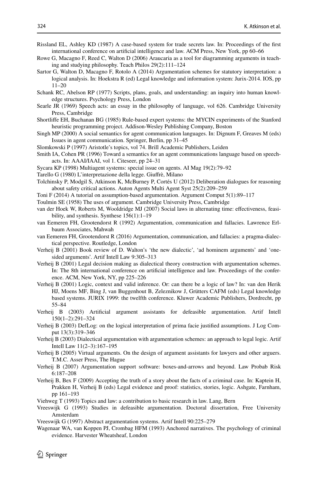<span id="page-43-13"></span>Rissland EL, Ashley KD (1987) A case-based system for trade secrets law. In: Proceedings of the frst international conference on artifcial intelligence and law. ACM Press, New York, pp 60–66

- <span id="page-43-25"></span>Rowe G, Macagno F, Reed C, Walton D (2006) Araucaria as a tool for diagramming arguments in teaching and studying philosophy. Teach Philos 29(2):111–124
- <span id="page-43-19"></span>Sartor G, Walton D, Macagno F, Rotolo A (2014) Argumentation schemes for statutory interpretation: a logical analysis. In: Hoekstra R (ed) Legal knowledge and information system: Jurix-2014. IOS, pp 11–20
- <span id="page-43-10"></span>Schank RC, Abelson RP (1977) Scripts, plans, goals, and understanding: an inquiry into human knowledge structures. Psychology Press, London
- <span id="page-43-2"></span>Searle JR (1969) Speech acts: an essay in the philosophy of language, vol 626. Cambridge University Press, Cambridge
- <span id="page-43-11"></span>Shortlife EH, Buchanan BG (1985) Rule-based expert systems: the MYCIN experiments of the Stanford heuristic programming project. Addison-Wesley Publishing Company, Boston
- <span id="page-43-3"></span>Singh MP (2000) A social semantics for agent communication languages. In: Dignum F, Greaves M (eds) Issues in agent communication. Springer, Berlin, pp 31–45
- <span id="page-43-6"></span>Slomkowski P (1997) Aristotle's topics, vol 74. Brill Academic Publishers, Leiden
- <span id="page-43-1"></span>Smith IA, Cohen PR (1996) Toward a semantics for an agent communications language based on speechacts. In: AAAI/IAAI, vol 1. Citeseer, pp 24–31
- <span id="page-43-0"></span>Sycara KP (1998) Multiagent systems: special issue on agents. AI Mag 19(2):79–92
- <span id="page-43-18"></span>Tarello G (1980) L'interpretazione della legge. Giufrè, Milano
- <span id="page-43-9"></span>Tolchinsky P, Modgil S, Atkinson K, McBurney P, Cortés U (2012) Deliberation dialogues for reasoning about safety critical actions. Auton Agents Multi Agent Syst 25(2):209–259
- <span id="page-43-16"></span>Toni F (2014) A tutorial on assumption-based argumentation. Argument Comput 5(1):89–117
- <span id="page-43-4"></span>Toulmin SE (1958) The uses of argument. Cambridge University Press, Cambridge
- <span id="page-43-8"></span>van der Hoek W, Roberts M, Wooldridge MJ (2007) Social laws in alternating time: effectiveness, feasibility, and synthesis. Synthese 156(1):1–19
- <span id="page-43-7"></span>van Eemeren FH, Grootendorst R (1992) Argumentation, communication and fallacies. Lawrence Erlbaum Associates, Mahwah
- <span id="page-43-5"></span>van Eemeren FH, Grootendorst R (2016) Argumentation, communication, and fallacies: a pragma-dialectical perspective. Routledge, London
- <span id="page-43-27"></span>Verheij B (2001) Book review of D. Walton's 'the new dialectic', 'ad hominem arguments' and 'onesided arguments'. Artif Intell Law 9:305–313
- <span id="page-43-21"></span>Verheij B (2001) Legal decision making as dialectical theory construction with argumentation schemes. In: The 8th international conference on artificial intelligence and law. Proceedings of the conference. ACM, New York, NY, pp 225–226
- <span id="page-43-26"></span>Verheij B (2001) Logic, context and valid inference. Or: can there be a logic of law? In: van den Herik HJ, Moens MF, Bing J, van Buggenhout B, Zeleznikow J, Grütters CAFM (eds) Legal knowledge based systems. JURIX 1999: the twelfth conference. Kluwer Academic Publishers, Dordrecht, pp 55–84
- <span id="page-43-22"></span>Verheij B (2003) Artifcial argument assistants for defeasible argumentation. Artif Intell 150(1–2):291–324
- <span id="page-43-20"></span>Verheij B (2003) DefLog: on the logical interpretation of prima facie justifed assumptions. J Log Com‑ put 13(3):319–346
- <span id="page-43-12"></span>Verheij B (2003) Dialectical argumentation with argumentation schemes: an approach to legal logic. Artif Intell Law 11(2–3):167–195
- <span id="page-43-23"></span>Verheij B (2005) Virtual arguments. On the design of argument assistants for lawyers and other arguers. T.M.C. Asser Press, The Hague
- <span id="page-43-24"></span>Verheij B (2007) Argumentation support software: boxes-and-arrows and beyond. Law Probab Risk 6:187–208
- <span id="page-43-29"></span>Verheij B, Bex F (2009) Accepting the truth of a story about the facts of a criminal case. In: Kaptein H, Prakken H, Verheij B (eds) Legal evidence and proof: statistics, stories, logic. Ashgate, Farnham, pp 161–193
- <span id="page-43-17"></span>Viehweg T (1993) Topics and law: a contribution to basic research in law. Lang, Bern
- <span id="page-43-14"></span>Vreeswijk G (1993) Studies in defeasible argumentation. Doctoral dissertation, Free University Amsterdam
- <span id="page-43-15"></span>Vreeswijk G (1997) Abstract argumentation systems. Artif Intell 90:225–279
- <span id="page-43-28"></span>Wagenaar WA, van Koppen PJ, Crombag HFM (1993) Anchored narratives. The psychology of criminal evidence. Harvester Wheatsheaf, London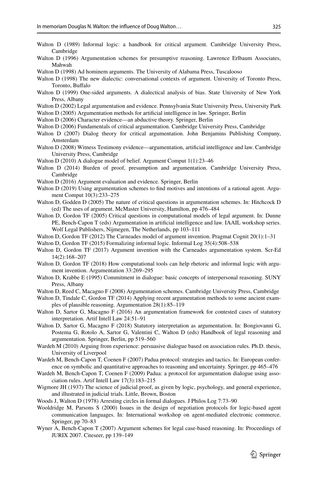- <span id="page-44-11"></span>Walton D (1989) Informal logic: a handbook for critical argument. Cambridge University Press, Cambridge
- <span id="page-44-6"></span>Walton D (1996) Argumentation schemes for presumptive reasoning. Lawrence Erlbaum Associates, Mahwah
- <span id="page-44-30"></span>Walton D (1998) Ad hominem arguments. The University of Alabama Press, Tuscalooso
- <span id="page-44-8"></span>Walton D (1998) The new dialectic: conversational contexts of argument. University of Toronto Press, Toronto, Buffalo
- <span id="page-44-31"></span>Walton D (1999) One-sided arguments. A dialectical analysis of bias. State University of New York Press, Albany
- <span id="page-44-0"></span>Walton D (2002) Legal argumentation and evidence. Pennsylvania State University Press, University Park
- <span id="page-44-1"></span>Walton D (2005) Argumentation methods for artifcial intelligence in law. Springer, Berlin
- <span id="page-44-2"></span>Walton D (2006) Character evidence—an abductive theory. Springer, Berlin
- <span id="page-44-10"></span>Walton D (2006) Fundamentals of critical argumentation. Cambridge University Press, Cambridge
- <span id="page-44-9"></span>Walton D (2007) Dialog theory for critical argumentation. John Benjamins Publishing Company, Amsterdam
- <span id="page-44-3"></span>Walton D (2008) Witness Testimony evidence—argumentation, artifcial intelligence and law. Cambridge University Press, Cambridge
- <span id="page-44-28"></span>Walton D (2010) A dialogue model of belief. Argument Comput 1(1):23–46
- <span id="page-44-4"></span>Walton D (2014) Burden of proof, presumption and argumentation. Cambridge University Press, Cambridge
- <span id="page-44-32"></span>Walton D (2016) Argument evaluation and evidence. Springer, Berlin
- <span id="page-44-29"></span>Walton D (2019) Using argumentation schemes to find motives and intentions of a rational agent. Argument Comput 10(3):233–275
- <span id="page-44-23"></span>Walton D, Godden D (2005) The nature of critical questions in argumentation schemes. In: Hitchcock D (ed) The uses of argument. McMaster University, Hamilton, pp 476–484
- <span id="page-44-22"></span>Walton D, Gordon TF (2005) Critical questions in computational models of legal argument. In: Dunne PE, Bench-Capon T (eds) Argumentation in artifcial intelligence and law. IAAIL workshop series. Wolf Legal Publishers, Nijmegen, The Netherlands, pp 103–111
- <span id="page-44-13"></span>Walton D, Gordon TF (2012) The Carneades model of argument invention. Pragmat Cognit 20(1):1–31
- <span id="page-44-16"></span>Walton D, Gordon TF (2015) Formalizing informal logic. Informal Log 35(4):508–538
- <span id="page-44-14"></span>Walton D, Gordon TF (2017) Argument invention with the Carneades argumentation system. Scr-Ed 14(2):168–207
- <span id="page-44-15"></span>Walton D, Gordon TF (2018) How computational tools can help rhetoric and informal logic with argument invention. Argumentation 33:269–295
- <span id="page-44-5"></span>Walton D, Krabbe E (1995) Commitment in dialogue: basic concepts of interpersonal reasoning. SUNY Press, Albany
- <span id="page-44-7"></span>Walton D, Reed C, Macagno F (2008) Argumentation schemes. Cambridge University Press, Cambridge
- <span id="page-44-24"></span>Walton D, Tindale C, Gordon TF (2014) Applying recent argumentation methods to some ancient exam– ples of plausible reasoning. Argumentation 28(1):85–119
- <span id="page-44-26"></span>Walton D, Sartor G, Macagno F (2016) An argumentation framework for contested cases of statutory interpretation. Artif Intell Law 24:51–91
- <span id="page-44-27"></span>Walton D, Sartor G, Macagno F (2018) Statutory interpretation as argumentation. In: Bongiovanni G, Postema G, Rotolo A, Sartor G, Valentini C, Walton D (eds) Handbook of legal reasoning and argumentation. Springer, Berlin, pp 519–560
- <span id="page-44-17"></span>Wardeh M (2010) Arguing from experience: persuasive dialogue based on association rules. Ph.D. thesis, University of Liverpool
- <span id="page-44-18"></span>Wardeh M, Bench-Capon T, Coenen F (2007) Padua protocol: strategies and tactics. In: European conference on symbolic and quantitative approaches to reasoning and uncertainty. Springer, pp 465–476
- <span id="page-44-19"></span>Wardeh M, Bench-Capon T, Coenen F (2009) Padua: a protocol for argumentation dialogue using association rules. Artif Intell Law 17(3):183–215
- <span id="page-44-21"></span>Wigmore JH (1937) The science of judicial proof, as given by logic, psychology, and general experience, and illustrated in judicial trials. Little, Brown, Boston
- <span id="page-44-25"></span>Woods J, Walton D (1978) Arresting circles in formal dialogues. J Philos Log 7:73–90
- <span id="page-44-12"></span>Wooldridge M, Parsons S (2000) Issues in the design of negotiation protocols for logic-based agent communication languages. In: International workshop on agent-mediated electronic commerce. Springer, pp 70–83
- <span id="page-44-20"></span>Wyner A, Bench-Capon T (2007) Argument schemes for legal case-based reasoning. In: Proceedings of JURIX 2007. Citeseer, pp 139–149